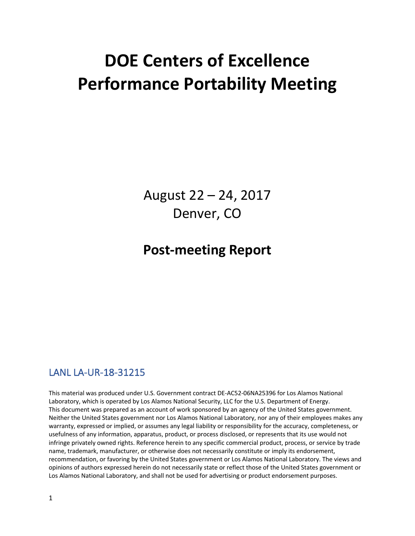# **DOE Centers of Excellence Performance Portability Meeting**

August 22 – 24, 2017 Denver, CO

## **Post-meeting Report**

## LANL LA-UR-18-31215

This material was produced under U.S. Government contract DE-AC52-06NA25396 for Los Alamos National Laboratory, which is operated by Los Alamos National Security, LLC for the U.S. Department of Energy. This document was prepared as an account of work sponsored by an agency of the United States government. Neither the United States government nor Los Alamos National Laboratory, nor any of their employees makes any warranty, expressed or implied, or assumes any legal liability or responsibility for the accuracy, completeness, or usefulness of any information, apparatus, product, or process disclosed, or represents that its use would not infringe privately owned rights. Reference herein to any specific commercial product, process, or service by trade name, trademark, manufacturer, or otherwise does not necessarily constitute or imply its endorsement, recommendation, or favoring by the United States government or Los Alamos National Laboratory. The views and opinions of authors expressed herein do not necessarily state or reflect those of the United States government or Los Alamos National Laboratory, and shall not be used for advertising or product endorsement purposes.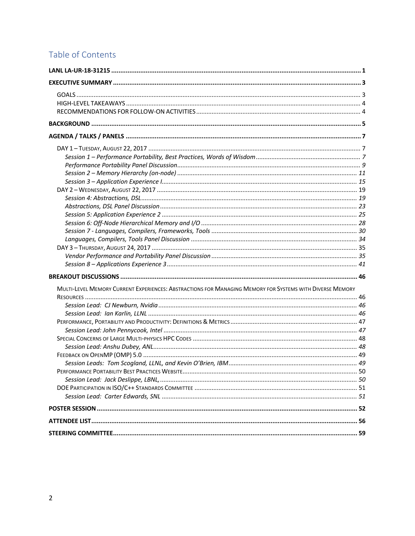## Table of Contents

| MULTI-LEVEL MEMORY CURRENT EXPERIENCES: ABSTRACTIONS FOR MANAGING MEMORY FOR SYSTEMS WITH DIVERSE MEMORY |  |
|----------------------------------------------------------------------------------------------------------|--|
|                                                                                                          |  |
|                                                                                                          |  |
|                                                                                                          |  |
|                                                                                                          |  |
|                                                                                                          |  |
|                                                                                                          |  |
|                                                                                                          |  |
|                                                                                                          |  |
|                                                                                                          |  |
|                                                                                                          |  |
|                                                                                                          |  |
|                                                                                                          |  |
|                                                                                                          |  |
|                                                                                                          |  |
|                                                                                                          |  |
|                                                                                                          |  |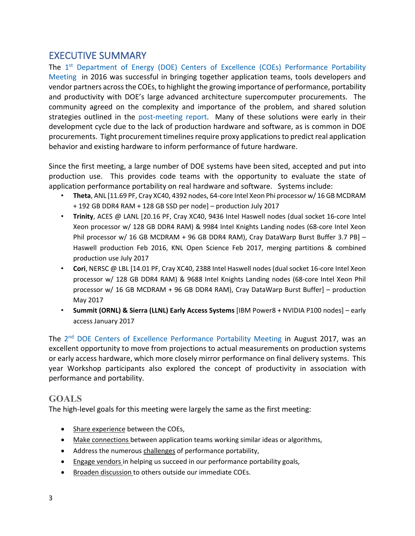## EXECUTIVE SUMMARY

The 1<sup>st</sup> Department of Energy (DOE) Centers of Excellence (COEs) Performance Portability Meeting in 2016 was successful in bringing together application teams, tools developers and vendor partners across the COEs, to highlight the growing importance of performance, portability and productivity with DOE's large advanced architecture supercomputer procurements. The community agreed on the complexity and importance of the problem, and shared solution strategies outlined in the post-meeting report. Many of these solutions were early in their development cycle due to the lack of production hardware and software, as is common in DOE procurements. Tight procurement timelines require proxy applications to predict real application behavior and existing hardware to inform performance of future hardware.

Since the first meeting, a large number of DOE systems have been sited, accepted and put into production use. This provides code teams with the opportunity to evaluate the state of application performance portability on real hardware and software. Systems include:

- **Theta**, ANL [11.69 PF, Cray XC40, 4392 nodes, 64-core Intel Xeon Phi processor w/ 16 GB MCDRAM + 192 GB DDR4 RAM + 128 GB SSD per node] – production July 2017
- **Trinity**, ACES @ LANL [20.16 PF, Cray XC40, 9436 Intel Haswell nodes (dual socket 16-core Intel Xeon processor w/ 128 GB DDR4 RAM) & 9984 Intel Knights Landing nodes (68-core Intel Xeon Phil processor w/ 16 GB MCDRAM + 96 GB DDR4 RAM), Cray DataWarp Burst Buffer 3.7 PB] -Haswell production Feb 2016, KNL Open Science Feb 2017, merging partitions & combined production use July 2017
- **Cori**, NERSC @ LBL [14.01 PF, Cray XC40, 2388 Intel Haswell nodes (dual socket 16-core Intel Xeon processor w/ 128 GB DDR4 RAM) & 9688 Intel Knights Landing nodes (68-core Intel Xeon Phil processor w/ 16 GB MCDRAM + 96 GB DDR4 RAM), Cray DataWarp Burst Buffer] – production May 2017
- **Summit (ORNL) & Sierra (LLNL) Early Access Systems** [IBM Power8 + NVIDIA P100 nodes] early access January 2017

The 2<sup>nd</sup> DOE Centers of Excellence Performance Portability Meeting in August 2017, was an excellent opportunity to move from projections to actual measurements on production systems or early access hardware, which more closely mirror performance on final delivery systems. This year Workshop participants also explored the concept of productivity in association with performance and portability.

## **GOALS**

The high-level goals for this meeting were largely the same as the first meeting:

- Share experience between the COEs,
- Make connections between application teams working similar ideas or algorithms,
- Address the numerous challenges of performance portability,
- Engage vendors in helping us succeed in our performance portability goals,
- Broaden discussion to others outside our immediate COEs.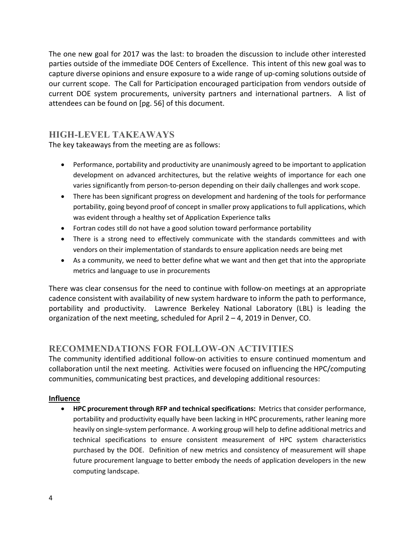The one new goal for 2017 was the last: to broaden the discussion to include other interested parties outside of the immediate DOE Centers of Excellence. This intent of this new goal was to capture diverse opinions and ensure exposure to a wide range of up-coming solutions outside of our current scope. The Call for Participation encouraged participation from vendors outside of current DOE system procurements, university partners and international partners. A list of attendees can be found on [pg. 56] of this document.

## **HIGH-LEVEL TAKEAWAYS**

The key takeaways from the meeting are as follows:

- Performance, portability and productivity are unanimously agreed to be important to application development on advanced architectures, but the relative weights of importance for each one varies significantly from person-to-person depending on their daily challenges and work scope.
- There has been significant progress on development and hardening of the tools for performance portability, going beyond proof of concept in smaller proxy applications to full applications, which was evident through a healthy set of Application Experience talks
- Fortran codes still do not have a good solution toward performance portability
- There is a strong need to effectively communicate with the standards committees and with vendors on their implementation of standards to ensure application needs are being met
- As a community, we need to better define what we want and then get that into the appropriate metrics and language to use in procurements

There was clear consensus for the need to continue with follow-on meetings at an appropriate cadence consistent with availability of new system hardware to inform the path to performance, portability and productivity. Lawrence Berkeley National Laboratory (LBL) is leading the organization of the next meeting, scheduled for April 2 – 4, 2019 in Denver, CO.

## **RECOMMENDATIONS FOR FOLLOW-ON ACTIVITIES**

The community identified additional follow-on activities to ensure continued momentum and collaboration until the next meeting. Activities were focused on influencing the HPC/computing communities, communicating best practices, and developing additional resources:

## **Influence**

• **HPC procurement through RFP and technical specifications:** Metrics that consider performance, portability and productivity equally have been lacking in HPC procurements, rather leaning more heavily on single-system performance. A working group will help to define additional metrics and technical specifications to ensure consistent measurement of HPC system characteristics purchased by the DOE. Definition of new metrics and consistency of measurement will shape future procurement language to better embody the needs of application developers in the new computing landscape.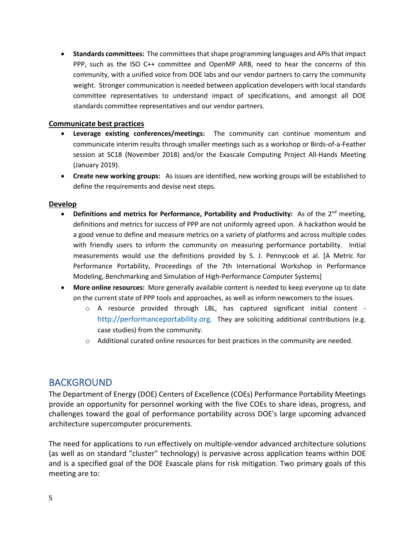• **Standards committees:** The committees that shape programming languages and APIs that impact PPP, such as the ISO C++ committee and OpenMP ARB, need to hear the concerns of this community, with a unified voice from DOE labs and our vendor partners to carry the community weight. Stronger communication is needed between application developers with local standards committee representatives to understand impact of specifications, and amongst all DOE standards committee representatives and our vendor partners.

#### **Communicate best practices**

- **Leverage existing conferences/meetings:** The community can continue momentum and communicate interim results through smaller meetings such as a workshop or Birds-of-a-Feather session at SC18 (November 2018) and/or the Exascale Computing Project All-Hands Meeting (January 2019).
- **Create new working groups:** As issues are identified, new working groups will be established to define the requirements and devise next steps.

#### **Develop**

- Definitions and metrics for Performance, Portability and Productivity: As of the 2<sup>nd</sup> meeting, definitions and metrics for success of PPP are not uniformly agreed upon. A hackathon would be a good venue to define and measure metrics on a variety of platforms and across multiple codes with friendly users to inform the community on measuring performance portability. Initial measurements would use the definitions provided by S. J. Pennycook et al. [A Metric for Performance Portability, Proceedings of the 7th International Workshop in Performance Modeling, Benchmarking and Simulation of High-Performance Computer Systems]
- **More online resources:** More generally available content is needed to keep everyone up to date on the current state of PPP tools and approaches, as well as inform newcomers to the issues.
	- o A resource provided through LBL, has captured significant initial content http://performanceportability.org. They are soliciting additional contributions (e.g. case studies) from the community.
	- $\circ$  Additional curated online resources for best practices in the community are needed.

## BACKGROUND

The Department of Energy (DOE) Centers of Excellence (COEs) Performance Portability Meetings provide an opportunity for personnel working with the five COEs to share ideas, progress, and challenges toward the goal of performance portability across DOE's large upcoming advanced architecture supercomputer procurements.

The need for applications to run effectively on multiple-vendor advanced architecture solutions (as well as on standard "cluster" technology) is pervasive across application teams within DOE and is a specified goal of the DOE Exascale plans for risk mitigation. Two primary goals of this meeting are to: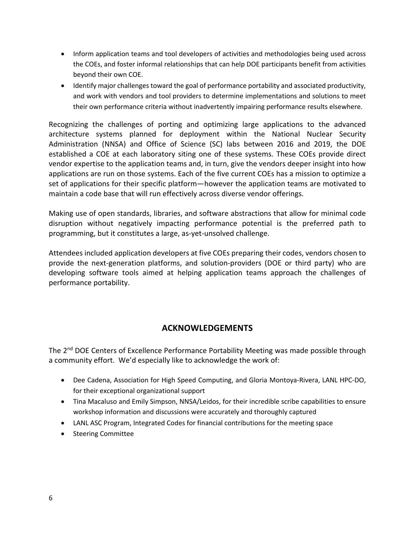- Inform application teams and tool developers of activities and methodologies being used across the COEs, and foster informal relationships that can help DOE participants benefit from activities beyond their own COE.
- Identify major challenges toward the goal of performance portability and associated productivity, and work with vendors and tool providers to determine implementations and solutions to meet their own performance criteria without inadvertently impairing performance results elsewhere.

Recognizing the challenges of porting and optimizing large applications to the advanced architecture systems planned for deployment within the National Nuclear Security Administration (NNSA) and Office of Science (SC) labs between 2016 and 2019, the DOE established a COE at each laboratory siting one of these systems. These COEs provide direct vendor expertise to the application teams and, in turn, give the vendors deeper insight into how applications are run on those systems. Each of the five current COEs has a mission to optimize a set of applications for their specific platform—however the application teams are motivated to maintain a code base that will run effectively across diverse vendor offerings.

Making use of open standards, libraries, and software abstractions that allow for minimal code disruption without negatively impacting performance potential is the preferred path to programming, but it constitutes a large, as-yet-unsolved challenge.

Attendees included application developers at five COEs preparing their codes, vendors chosen to provide the next-generation platforms, and solution-providers (DOE or third party) who are developing software tools aimed at helping application teams approach the challenges of performance portability.

## **ACKNOWLEDGEMENTS**

The 2<sup>nd</sup> DOE Centers of Excellence Performance Portability Meeting was made possible through a community effort. We'd especially like to acknowledge the work of:

- Dee Cadena, Association for High Speed Computing, and Gloria Montoya-Rivera, LANL HPC-DO, for their exceptional organizational support
- Tina Macaluso and Emily Simpson, NNSA/Leidos, for their incredible scribe capabilities to ensure workshop information and discussions were accurately and thoroughly captured
- LANL ASC Program, Integrated Codes for financial contributions for the meeting space
- Steering Committee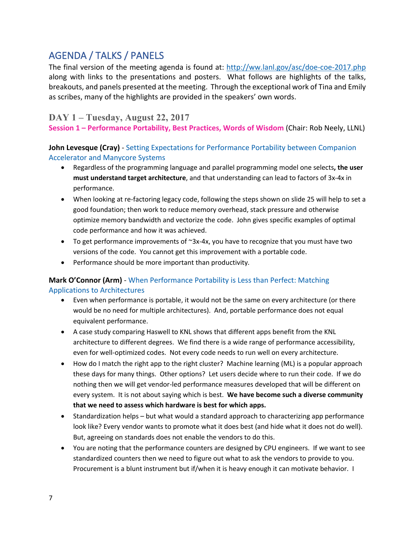## AGENDA / TALKS / PANELS

The final version of the meeting agenda is found at: http://ww.lanl.gov/asc/doe-coe-2017.php along with links to the presentations and posters. What follows are highlights of the talks, breakouts, and panels presented at the meeting. Through the exceptional work of Tina and Emily as scribes, many of the highlights are provided in the speakers' own words.

## **DAY 1 – Tuesday, August 22, 2017**

**Session 1 – Performance Portability, Best Practices, Words of Wisdom** (Chair: Rob Neely, LLNL)

## **John Levesque (Cray)** - Setting Expectations for Performance Portability between Companion Accelerator and Manycore Systems

- Regardless of the programming language and parallel programming model one selects**, the user must understand target architecture**, and that understanding can lead to factors of 3x-4x in performance.
- When looking at re-factoring legacy code, following the steps shown on slide 25 will help to set a good foundation; then work to reduce memory overhead, stack pressure and otherwise optimize memory bandwidth and vectorize the code. John gives specific examples of optimal code performance and how it was achieved.
- To get performance improvements of  $\sim 3x-4x$ , you have to recognize that you must have two versions of the code. You cannot get this improvement with a portable code.
- Performance should be more important than productivity.

## **Mark O'Connor (Arm)** - When Performance Portability is Less than Perfect: Matching Applications to Architectures

- Even when performance is portable, it would not be the same on every architecture (or there would be no need for multiple architectures). And, portable performance does not equal equivalent performance.
- A case study comparing Haswell to KNL shows that different apps benefit from the KNL architecture to different degrees. We find there is a wide range of performance accessibility, even for well-optimized codes. Not every code needs to run well on every architecture.
- How do I match the right app to the right cluster? Machine learning (ML) is a popular approach these days for many things. Other options? Let users decide where to run their code. If we do nothing then we will get vendor-led performance measures developed that will be different on every system. It is not about saying which is best. **We have become such a diverse community that we need to assess which hardware is best for which apps.**
- Standardization helps but what would a standard approach to characterizing app performance look like? Every vendor wants to promote what it does best (and hide what it does not do well). But, agreeing on standards does not enable the vendors to do this.
- You are noting that the performance counters are designed by CPU engineers. If we want to see standardized counters then we need to figure out what to ask the vendors to provide to you. Procurement is a blunt instrument but if/when it is heavy enough it can motivate behavior. I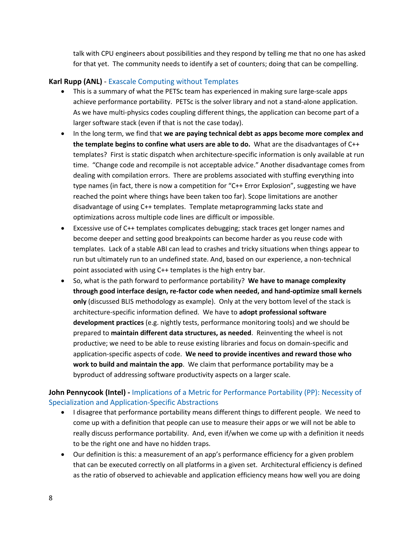talk with CPU engineers about possibilities and they respond by telling me that no one has asked for that yet. The community needs to identify a set of counters; doing that can be compelling.

### **Karl Rupp (ANL)** - Exascale Computing without Templates

- This is a summary of what the PETSc team has experienced in making sure large-scale apps achieve performance portability. PETSc is the solver library and not a stand-alone application. As we have multi-physics codes coupling different things, the application can become part of a larger software stack (even if that is not the case today).
- In the long term, we find that **we are paying technical debt as apps become more complex and the template begins to confine what users are able to do.** What are the disadvantages of C++ templates? First is static dispatch when architecture-specific information is only available at run time. "Change code and recompile is not acceptable advice." Another disadvantage comes from dealing with compilation errors. There are problems associated with stuffing everything into type names (in fact, there is now a competition for "C++ Error Explosion", suggesting we have reached the point where things have been taken too far). Scope limitations are another disadvantage of using C++ templates. Template metaprogramming lacks state and optimizations across multiple code lines are difficult or impossible.
- Excessive use of C++ templates complicates debugging; stack traces get longer names and become deeper and setting good breakpoints can become harder as you reuse code with templates. Lack of a stable ABI can lead to crashes and tricky situations when things appear to run but ultimately run to an undefined state. And, based on our experience, a non-technical point associated with using C++ templates is the high entry bar.
- So, what is the path forward to performance portability? **We have to manage complexity through good interface design, re-factor code when needed, and hand-optimize small kernels only** (discussed BLIS methodology as example). Only at the very bottom level of the stack is architecture-specific information defined. We have to **adopt professional software development practices** (e.g. nightly tests, performance monitoring tools) and we should be prepared to **maintain different data structures, as needed**. Reinventing the wheel is not productive; we need to be able to reuse existing libraries and focus on domain-specific and application-specific aspects of code. **We need to provide incentives and reward those who work to build and maintain the app**. We claim that performance portability may be a byproduct of addressing software productivity aspects on a larger scale.

## **John Pennycook (Intel) -** Implications of a Metric for Performance Portability (PP): Necessity of Specialization and Application-Specific Abstractions

- I disagree that performance portability means different things to different people. We need to come up with a definition that people can use to measure their apps or we will not be able to really discuss performance portability. And, even if/when we come up with a definition it needs to be the right one and have no hidden traps.
- Our definition is this: a measurement of an app's performance efficiency for a given problem that can be executed correctly on all platforms in a given set. Architectural efficiency is defined as the ratio of observed to achievable and application efficiency means how well you are doing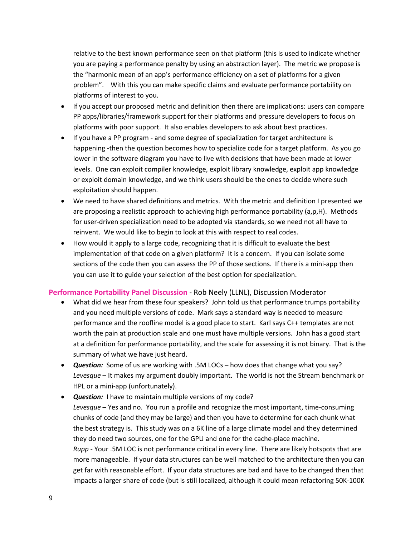relative to the best known performance seen on that platform (this is used to indicate whether you are paying a performance penalty by using an abstraction layer). The metric we propose is the "harmonic mean of an app's performance efficiency on a set of platforms for a given problem". With this you can make specific claims and evaluate performance portability on platforms of interest to you.

- If you accept our proposed metric and definition then there are implications: users can compare PP apps/libraries/framework support for their platforms and pressure developers to focus on platforms with poor support. It also enables developers to ask about best practices.
- If you have a PP program and some degree of specialization for target architecture is happening -then the question becomes how to specialize code for a target platform. As you go lower in the software diagram you have to live with decisions that have been made at lower levels. One can exploit compiler knowledge, exploit library knowledge, exploit app knowledge or exploit domain knowledge, and we think users should be the ones to decide where such exploitation should happen.
- We need to have shared definitions and metrics. With the metric and definition I presented we are proposing a realistic approach to achieving high performance portability (a,p,H). Methods for user-driven specialization need to be adopted via standards, so we need not all have to reinvent. We would like to begin to look at this with respect to real codes.
- How would it apply to a large code, recognizing that it is difficult to evaluate the best implementation of that code on a given platform? It is a concern. If you can isolate some sections of the code then you can assess the PP of those sections. If there is a mini-app then you can use it to guide your selection of the best option for specialization.

#### **Performance Portability Panel Discussion** - Rob Neely (LLNL), Discussion Moderator

- What did we hear from these four speakers? John told us that performance trumps portability and you need multiple versions of code. Mark says a standard way is needed to measure performance and the roofline model is a good place to start. Karl says C++ templates are not worth the pain at production scale and one must have multiple versions. John has a good start at a definition for performance portability, and the scale for assessing it is not binary. That is the summary of what we have just heard.
- *Question:* Some of us are working with .5M LOCs how does that change what you say? *Levesque* – It makes my argument doubly important. The world is not the Stream benchmark or HPL or a mini-app (unfortunately).
- *Question:* I have to maintain multiple versions of my code? *Levesque* – Yes and no. You run a profile and recognize the most important, time-consuming chunks of code (and they may be large) and then you have to determine for each chunk what the best strategy is. This study was on a 6K line of a large climate model and they determined they do need two sources, one for the GPU and one for the cache-place machine. *Rupp -* Your .5M LOC is not performance critical in every line. There are likely hotspots that are more manageable. If your data structures can be well matched to the architecture then you can get far with reasonable effort. If your data structures are bad and have to be changed then that impacts a larger share of code (but is still localized, although it could mean refactoring 50K-100K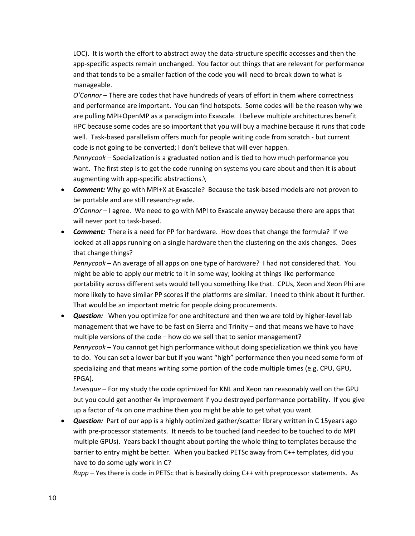LOC). It is worth the effort to abstract away the data-structure specific accesses and then the app-specific aspects remain unchanged. You factor out things that are relevant for performance and that tends to be a smaller faction of the code you will need to break down to what is manageable.

*O'Connor –* There are codes that have hundreds of years of effort in them where correctness and performance are important. You can find hotspots. Some codes will be the reason why we are pulling MPI+OpenMP as a paradigm into Exascale. I believe multiple architectures benefit HPC because some codes are so important that you will buy a machine because it runs that code well. Task-based parallelism offers much for people writing code from scratch - but current code is not going to be converted; I don't believe that will ever happen.

*Pennycook –* Specialization is a graduated notion and is tied to how much performance you want. The first step is to get the code running on systems you care about and then it is about augmenting with app-specific abstractions.\

• *Comment:* Why go with MPI+X at Exascale? Because the task-based models are not proven to be portable and are still research-grade.

*O'Connor –* I agree. We need to go with MPI to Exascale anyway because there are apps that will never port to task-based.

• *Comment:* There is a need for PP for hardware. How does that change the formula? If we looked at all apps running on a single hardware then the clustering on the axis changes. Does that change things?

*Pennycook –* An average of all apps on one type of hardware? I had not considered that. You might be able to apply our metric to it in some way; looking at things like performance portability across different sets would tell you something like that. CPUs, Xeon and Xeon Phi are more likely to have similar PP scores if the platforms are similar. I need to think about it further. That would be an important metric for people doing procurements.

• *Question:* When you optimize for one architecture and then we are told by higher-level lab management that we have to be fast on Sierra and Trinity – and that means we have to have multiple versions of the code – how do we sell that to senior management? *Pennycook –* You cannot get high performance without doing specialization we think you have to do. You can set a lower bar but if you want "high" performance then you need some form of specializing and that means writing some portion of the code multiple times (e.g. CPU, GPU, FPGA).

*Levesque* – For my study the code optimized for KNL and Xeon ran reasonably well on the GPU but you could get another 4x improvement if you destroyed performance portability. If you give up a factor of 4x on one machine then you might be able to get what you want.

• *Question:* Part of our app is a highly optimized gather/scatter library written in C 15years ago with pre-processor statements. It needs to be touched (and needed to be touched to do MPI multiple GPUs). Years back I thought about porting the whole thing to templates because the barrier to entry might be better. When you backed PETSc away from C++ templates, did you have to do some ugly work in C?

*Rupp –* Yes there is code in PETSc that is basically doing C++ with preprocessor statements. As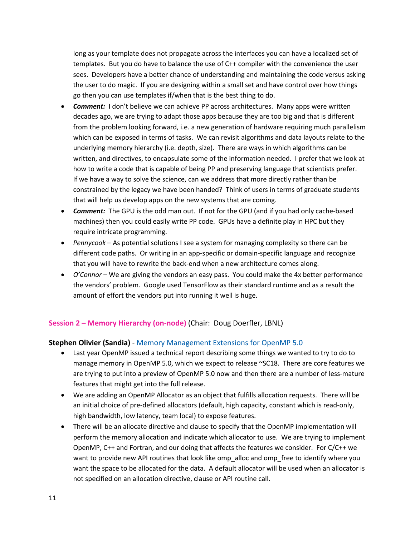long as your template does not propagate across the interfaces you can have a localized set of templates. But you do have to balance the use of C++ compiler with the convenience the user sees. Developers have a better chance of understanding and maintaining the code versus asking the user to do magic. If you are designing within a small set and have control over how things go then you can use templates if/when that is the best thing to do.

- *Comment:* I don't believe we can achieve PP across architectures. Many apps were written decades ago, we are trying to adapt those apps because they are too big and that is different from the problem looking forward, i.e. a new generation of hardware requiring much parallelism which can be exposed in terms of tasks. We can revisit algorithms and data layouts relate to the underlying memory hierarchy (i.e. depth, size). There are ways in which algorithms can be written, and directives, to encapsulate some of the information needed. I prefer that we look at how to write a code that is capable of being PP and preserving language that scientists prefer. If we have a way to solve the science, can we address that more directly rather than be constrained by the legacy we have been handed? Think of users in terms of graduate students that will help us develop apps on the new systems that are coming.
- *Comment:* The GPU is the odd man out. If not for the GPU (and if you had only cache-based machines) then you could easily write PP code. GPUs have a definite play in HPC but they require intricate programming.
- *Pennycook*  As potential solutions I see a system for managing complexity so there can be different code paths. Or writing in an app-specific or domain-specific language and recognize that you will have to rewrite the back-end when a new architecture comes along.
- *O'Connor –* We are giving the vendors an easy pass. You could make the 4x better performance the vendors' problem. Google used TensorFlow as their standard runtime and as a result the amount of effort the vendors put into running it well is huge.

## **Session 2 – Memory Hierarchy (on-node)** (Chair: Doug Doerfler, LBNL)

#### **Stephen Olivier (Sandia)** - Memory Management Extensions for OpenMP 5.0

- Last year OpenMP issued a technical report describing some things we wanted to try to do to manage memory in OpenMP 5.0, which we expect to release ~SC18. There are core features we are trying to put into a preview of OpenMP 5.0 now and then there are a number of less-mature features that might get into the full release.
- We are adding an OpenMP Allocator as an object that fulfills allocation requests. There will be an initial choice of pre-defined allocators (default, high capacity, constant which is read-only, high bandwidth, low latency, team local) to expose features.
- There will be an allocate directive and clause to specify that the OpenMP implementation will perform the memory allocation and indicate which allocator to use. We are trying to implement OpenMP, C++ and Fortran, and our doing that affects the features we consider. For C/C++ we want to provide new API routines that look like omp\_alloc and omp\_free to identify where you want the space to be allocated for the data. A default allocator will be used when an allocator is not specified on an allocation directive, clause or API routine call.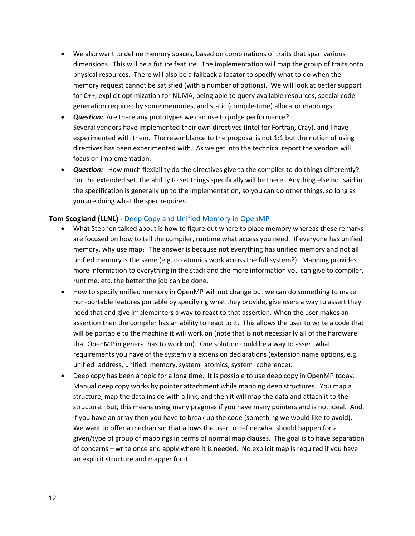- We also want to define memory spaces, based on combinations of traits that span various dimensions. This will be a future feature. The implementation will map the group of traits onto physical resources. There will also be a fallback allocator to specify what to do when the memory request cannot be satisfied (with a number of options). We will look at better support for C++, explicit optimization for NUMA, being able to query available resources, special code generation required by some memories, and static (compile-time) allocator mappings.
- **Question:** Are there any prototypes we can use to judge performance? Several vendors have implemented their own directives (Intel for Fortran, Cray), and I have experimented with them. The resemblance to the proposal is not 1:1 but the notion of using directives has been experimented with. As we get into the technical report the vendors will focus on implementation.
- *Question:* How much flexibility do the directives give to the compiler to do things differently? For the extended set, the ability to set things specifically will be there. Anything else not said in the specification is generally up to the implementation, so you can do other things, so long as you are doing what the spec requires.

#### **Tom Scogland (LLNL) -** Deep Copy and Unified Memory in OpenMP

- What Stephen talked about is how to figure out where to place memory whereas these remarks are focused on how to tell the compiler, runtime what access you need. If everyone has unified memory, why use map? The answer is because not everything has unified memory and not all unified memory is the same (e.g. do atomics work across the full system?). Mapping provides more information to everything in the stack and the more information you can give to compiler, runtime, etc. the better the job can be done.
- How to specify unified memory in OpenMP will not change but we can do something to make non-portable features portable by specifying what they provide, give users a way to assert they need that and give implementers a way to react to that assertion. When the user makes an assertion then the compiler has an ability to react to it. This allows the user to write a code that will be portable to the machine it will work on (note that is not necessarily all of the hardware that OpenMP in general has to work on). One solution could be a way to assert what requirements you have of the system via extension declarations (extension name options, e.g. unified\_address, unified\_memory, system\_atomics, system\_coherence).
- Deep copy has been a topic for a long time. It is possible to use deep copy in OpenMP today. Manual deep copy works by pointer attachment while mapping deep structures. You map a structure, map the data inside with a link, and then it will map the data and attach it to the structure. But, this means using many pragmas if you have many pointers and is not ideal. And, if you have an array then you have to break up the code (something we would like to avoid). We want to offer a mechanism that allows the user to define what should happen for a given/type of group of mappings in terms of normal map clauses. The goal is to have separation of concerns – write once and apply where it is needed. No explicit map is required if you have an explicit structure and mapper for it.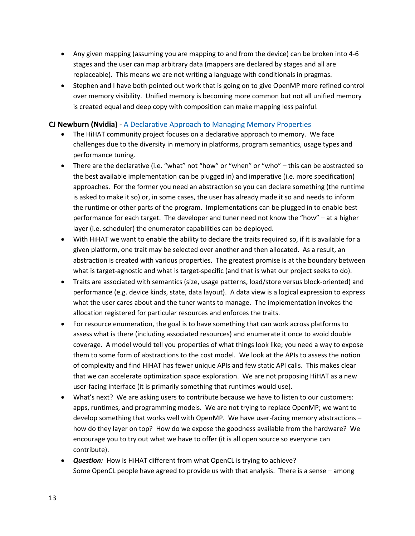- Any given mapping (assuming you are mapping to and from the device) can be broken into 4-6 stages and the user can map arbitrary data (mappers are declared by stages and all are replaceable). This means we are not writing a language with conditionals in pragmas.
- Stephen and I have both pointed out work that is going on to give OpenMP more refined control over memory visibility. Unified memory is becoming more common but not all unified memory is created equal and deep copy with composition can make mapping less painful.

### **CJ Newburn (Nvidia)** - A Declarative Approach to Managing Memory Properties

- The HiHAT community project focuses on a declarative approach to memory. We face challenges due to the diversity in memory in platforms, program semantics, usage types and performance tuning.
- There are the declarative (i.e. "what" not "how" or "when" or "who" this can be abstracted so the best available implementation can be plugged in) and imperative (i.e. more specification) approaches. For the former you need an abstraction so you can declare something (the runtime is asked to make it so) or, in some cases, the user has already made it so and needs to inform the runtime or other parts of the program. Implementations can be plugged in to enable best performance for each target. The developer and tuner need not know the "how" – at a higher layer (i.e. scheduler) the enumerator capabilities can be deployed.
- With HiHAT we want to enable the ability to declare the traits required so, if it is available for a given platform, one trait may be selected over another and then allocated. As a result, an abstraction is created with various properties. The greatest promise is at the boundary between what is target-agnostic and what is target-specific (and that is what our project seeks to do).
- Traits are associated with semantics (size, usage patterns, load/store versus block-oriented) and performance (e.g. device kinds, state, data layout). A data view is a logical expression to express what the user cares about and the tuner wants to manage. The implementation invokes the allocation registered for particular resources and enforces the traits.
- For resource enumeration, the goal is to have something that can work across platforms to assess what is there (including associated resources) and enumerate it once to avoid double coverage. A model would tell you properties of what things look like; you need a way to expose them to some form of abstractions to the cost model. We look at the APIs to assess the notion of complexity and find HiHAT has fewer unique APIs and few static API calls. This makes clear that we can accelerate optimization space exploration. We are not proposing HiHAT as a new user-facing interface (it is primarily something that runtimes would use).
- What's next? We are asking users to contribute because we have to listen to our customers: apps, runtimes, and programming models. We are not trying to replace OpenMP; we want to develop something that works well with OpenMP. We have user-facing memory abstractions – how do they layer on top? How do we expose the goodness available from the hardware? We encourage you to try out what we have to offer (it is all open source so everyone can contribute).
- **Question:** How is HiHAT different from what OpenCL is trying to achieve? Some OpenCL people have agreed to provide us with that analysis. There is a sense – among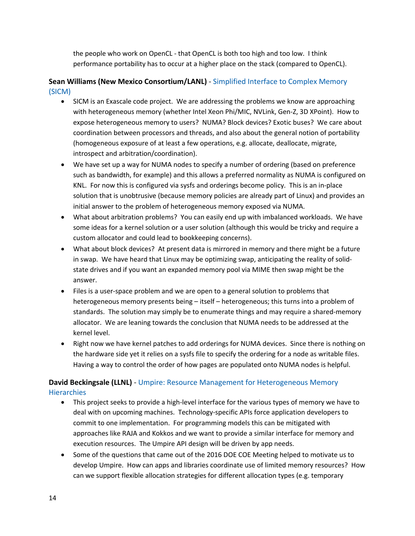the people who work on OpenCL - that OpenCL is both too high and too low. I think performance portability has to occur at a higher place on the stack (compared to OpenCL).

## **Sean Williams (New Mexico Consortium/LANL)** - Simplified Interface to Complex Memory (SICM)

- SICM is an Exascale code project. We are addressing the problems we know are approaching with heterogeneous memory (whether Intel Xeon Phi/MIC, NVLink, Gen-Z, 3D XPoint). How to expose heterogeneous memory to users? NUMA? Block devices? Exotic buses? We care about coordination between processors and threads, and also about the general notion of portability (homogeneous exposure of at least a few operations, e.g. allocate, deallocate, migrate, introspect and arbitration/coordination).
- We have set up a way for NUMA nodes to specify a number of ordering (based on preference such as bandwidth, for example) and this allows a preferred normality as NUMA is configured on KNL. For now this is configured via sysfs and orderings become policy. This is an in-place solution that is unobtrusive (because memory policies are already part of Linux) and provides an initial answer to the problem of heterogeneous memory exposed via NUMA.
- What about arbitration problems? You can easily end up with imbalanced workloads. We have some ideas for a kernel solution or a user solution (although this would be tricky and require a custom allocator and could lead to bookkeeping concerns).
- What about block devices? At present data is mirrored in memory and there might be a future in swap. We have heard that Linux may be optimizing swap, anticipating the reality of solidstate drives and if you want an expanded memory pool via MIME then swap might be the answer.
- Files is a user-space problem and we are open to a general solution to problems that heterogeneous memory presents being – itself – heterogeneous; this turns into a problem of standards. The solution may simply be to enumerate things and may require a shared-memory allocator. We are leaning towards the conclusion that NUMA needs to be addressed at the kernel level.
- Right now we have kernel patches to add orderings for NUMA devices. Since there is nothing on the hardware side yet it relies on a sysfs file to specify the ordering for a node as writable files. Having a way to control the order of how pages are populated onto NUMA nodes is helpful.

## **David Beckingsale (LLNL)** - Umpire: Resource Management for Heterogeneous Memory **Hierarchies**

- This project seeks to provide a high-level interface for the various types of memory we have to deal with on upcoming machines. Technology-specific APIs force application developers to commit to one implementation. For programming models this can be mitigated with approaches like RAJA and Kokkos and we want to provide a similar interface for memory and execution resources. The Umpire API design will be driven by app needs.
- Some of the questions that came out of the 2016 DOE COE Meeting helped to motivate us to develop Umpire. How can apps and libraries coordinate use of limited memory resources? How can we support flexible allocation strategies for different allocation types (e.g. temporary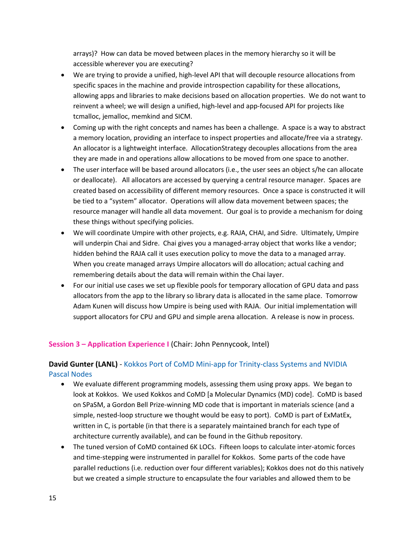arrays)? How can data be moved between places in the memory hierarchy so it will be accessible wherever you are executing?

- We are trying to provide a unified, high-level API that will decouple resource allocations from specific spaces in the machine and provide introspection capability for these allocations, allowing apps and libraries to make decisions based on allocation properties. We do not want to reinvent a wheel; we will design a unified, high-level and app-focused API for projects like tcmalloc, jemalloc, memkind and SICM.
- Coming up with the right concepts and names has been a challenge. A space is a way to abstract a memory location, providing an interface to inspect properties and allocate/free via a strategy. An allocator is a lightweight interface. AllocationStrategy decouples allocations from the area they are made in and operations allow allocations to be moved from one space to another.
- The user interface will be based around allocators (i.e., the user sees an object s/he can allocate or deallocate). All allocators are accessed by querying a central resource manager. Spaces are created based on accessibility of different memory resources. Once a space is constructed it will be tied to a "system" allocator. Operations will allow data movement between spaces; the resource manager will handle all data movement. Our goal is to provide a mechanism for doing these things without specifying policies.
- We will coordinate Umpire with other projects, e.g. RAJA, CHAI, and Sidre. Ultimately, Umpire will underpin Chai and Sidre. Chai gives you a managed-array object that works like a vendor; hidden behind the RAJA call it uses execution policy to move the data to a managed array. When you create managed arrays Umpire allocators will do allocation; actual caching and remembering details about the data will remain within the Chai layer.
- For our initial use cases we set up flexible pools for temporary allocation of GPU data and pass allocators from the app to the library so library data is allocated in the same place. Tomorrow Adam Kunen will discuss how Umpire is being used with RAJA. Our initial implementation will support allocators for CPU and GPU and simple arena allocation. A release is now in process.

#### **Session 3 – Application Experience I** (Chair: John Pennycook, Intel)

## **David Gunter (LANL)** - Kokkos Port of CoMD Mini-app for Trinity-class Systems and NVIDIA Pascal Nodes

- We evaluate different programming models, assessing them using proxy apps. We began to look at Kokkos. We used Kokkos and CoMD [a Molecular Dynamics (MD) code]. CoMD is based on SPaSM, a Gordon Bell Prize-winning MD code that is important in materials science (and a simple, nested-loop structure we thought would be easy to port). CoMD is part of ExMatEx, written in C, is portable (in that there is a separately maintained branch for each type of architecture currently available), and can be found in the Github repository.
- The tuned version of CoMD contained 6K LOCs. Fifteen loops to calculate inter-atomic forces and time-stepping were instrumented in parallel for Kokkos. Some parts of the code have parallel reductions (i.e. reduction over four different variables); Kokkos does not do this natively but we created a simple structure to encapsulate the four variables and allowed them to be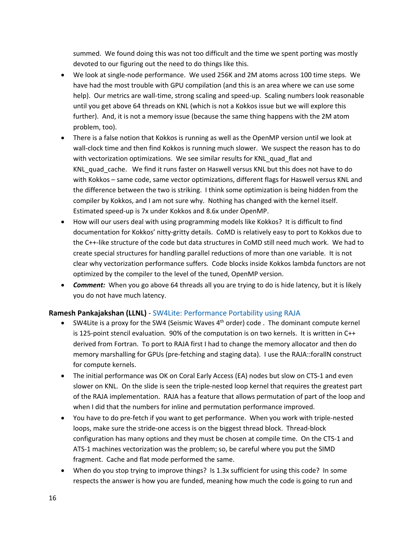summed. We found doing this was not too difficult and the time we spent porting was mostly devoted to our figuring out the need to do things like this.

- We look at single-node performance. We used 256K and 2M atoms across 100 time steps. We have had the most trouble with GPU compilation (and this is an area where we can use some help). Our metrics are wall-time, strong scaling and speed-up. Scaling numbers look reasonable until you get above 64 threads on KNL (which is not a Kokkos issue but we will explore this further). And, it is not a memory issue (because the same thing happens with the 2M atom problem, too).
- There is a false notion that Kokkos is running as well as the OpenMP version until we look at wall-clock time and then find Kokkos is running much slower. We suspect the reason has to do with vectorization optimizations. We see similar results for KNL\_quad\_flat and KNL quad cache. We find it runs faster on Haswell versus KNL but this does not have to do with Kokkos – same code, same vector optimizations, different flags for Haswell versus KNL and the difference between the two is striking. I think some optimization is being hidden from the compiler by Kokkos, and I am not sure why. Nothing has changed with the kernel itself. Estimated speed-up is 7x under Kokkos and 8.6x under OpenMP.
- How will our users deal with using programming models like Kokkos? It is difficult to find documentation for Kokkos' nitty-gritty details. CoMD is relatively easy to port to Kokkos due to the C++-like structure of the code but data structures in CoMD still need much work. We had to create special structures for handling parallel reductions of more than one variable. It is not clear why vectorization performance suffers. Code blocks inside Kokkos lambda functors are not optimized by the compiler to the level of the tuned, OpenMP version.
- *Comment:* When you go above 64 threads all you are trying to do is hide latency, but it is likely you do not have much latency.

#### **Ramesh Pankajakshan (LLNL)** - SW4Lite: Performance Portability using RAJA

- SW4Lite is a proxy for the SW4 (Seismic Waves  $4<sup>th</sup>$  order) code . The dominant compute kernel is 125-point stencil evaluation. 90% of the computation is on two kernels. It is written in C++ derived from Fortran. To port to RAJA first I had to change the memory allocator and then do memory marshalling for GPUs (pre-fetching and staging data). I use the RAJA::forallN construct for compute kernels.
- The initial performance was OK on Coral Early Access (EA) nodes but slow on CTS-1 and even slower on KNL. On the slide is seen the triple-nested loop kernel that requires the greatest part of the RAJA implementation. RAJA has a feature that allows permutation of part of the loop and when I did that the numbers for inline and permutation performance improved.
- You have to do pre-fetch if you want to get performance. When you work with triple-nested loops, make sure the stride-one access is on the biggest thread block. Thread-block configuration has many options and they must be chosen at compile time. On the CTS-1 and ATS-1 machines vectorization was the problem; so, be careful where you put the SIMD fragment. Cache and flat mode performed the same.
- When do you stop trying to improve things? Is 1.3x sufficient for using this code? In some respects the answer is how you are funded, meaning how much the code is going to run and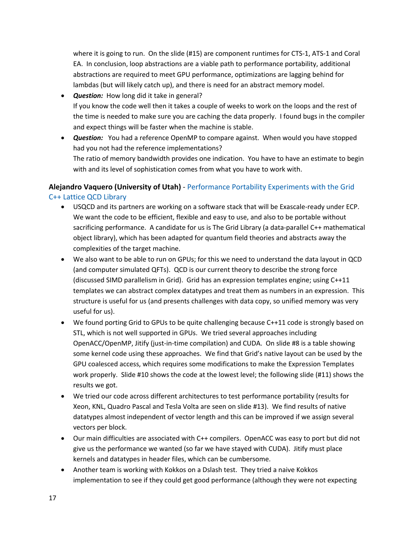where it is going to run. On the slide (#15) are component runtimes for CTS-1, ATS-1 and Coral EA. In conclusion, loop abstractions are a viable path to performance portability, additional abstractions are required to meet GPU performance, optimizations are lagging behind for lambdas (but will likely catch up), and there is need for an abstract memory model.

- *Question:* How long did it take in general? If you know the code well then it takes a couple of weeks to work on the loops and the rest of the time is needed to make sure you are caching the data properly. I found bugs in the compiler and expect things will be faster when the machine is stable.
- *Question:* You had a reference OpenMP to compare against. When would you have stopped had you not had the reference implementations? The ratio of memory bandwidth provides one indication. You have to have an estimate to begin with and its level of sophistication comes from what you have to work with.

## **Alejandro Vaquero (University of Utah)** - Performance Portability Experiments with the Grid C++ Lattice QCD Library

- USQCD and its partners are working on a software stack that will be Exascale-ready under ECP. We want the code to be efficient, flexible and easy to use, and also to be portable without sacrificing performance. A candidate for us is The Grid Library (a data-parallel C++ mathematical object library), which has been adapted for quantum field theories and abstracts away the complexities of the target machine.
- We also want to be able to run on GPUs; for this we need to understand the data layout in QCD (and computer simulated QFTs). QCD is our current theory to describe the strong force (discussed SIMD parallelism in Grid). Grid has an expression templates engine; using C++11 templates we can abstract complex datatypes and treat them as numbers in an expression. This structure is useful for us (and presents challenges with data copy, so unified memory was very useful for us).
- We found porting Grid to GPUs to be quite challenging because C++11 code is strongly based on STL, which is not well supported in GPUs. We tried several approaches including OpenACC/OpenMP, Jitify (just-in-time compilation) and CUDA. On slide #8 is a table showing some kernel code using these approaches. We find that Grid's native layout can be used by the GPU coalesced access, which requires some modifications to make the Expression Templates work properly. Slide #10 shows the code at the lowest level; the following slide (#11) shows the results we got.
- We tried our code across different architectures to test performance portability (results for Xeon, KNL, Quadro Pascal and Tesla Volta are seen on slide #13). We find results of native datatypes almost independent of vector length and this can be improved if we assign several vectors per block.
- Our main difficulties are associated with C++ compilers. OpenACC was easy to port but did not give us the performance we wanted (so far we have stayed with CUDA). Jitify must place kernels and datatypes in header files, which can be cumbersome.
- Another team is working with Kokkos on a Dslash test. They tried a naive Kokkos implementation to see if they could get good performance (although they were not expecting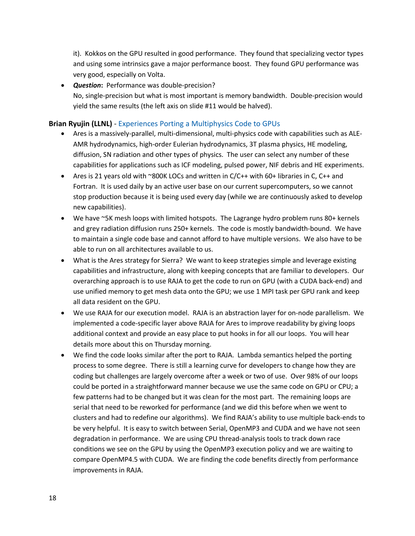it). Kokkos on the GPU resulted in good performance. They found that specializing vector types and using some intrinsics gave a major performance boost. They found GPU performance was very good, especially on Volta.

• *Question***:** Performance was double-precision? No, single-precision but what is most important is memory bandwidth. Double-precision would yield the same results (the left axis on slide #11 would be halved).

#### **Brian Ryujin (LLNL)** - Experiences Porting a Multiphysics Code to GPUs

- Ares is a massively-parallel, multi-dimensional, multi-physics code with capabilities such as ALE-AMR hydrodynamics, high-order Eulerian hydrodynamics, 3T plasma physics, HE modeling, diffusion, SN radiation and other types of physics. The user can select any number of these capabilities for applications such as ICF modeling, pulsed power, NIF debris and HE experiments.
- Ares is 21 years old with ~800K LOCs and written in C/C++ with 60+ libraries in C, C++ and Fortran. It is used daily by an active user base on our current supercomputers, so we cannot stop production because it is being used every day (while we are continuously asked to develop new capabilities).
- We have ~5K mesh loops with limited hotspots. The Lagrange hydro problem runs 80+ kernels and grey radiation diffusion runs 250+ kernels. The code is mostly bandwidth-bound. We have to maintain a single code base and cannot afford to have multiple versions. We also have to be able to run on all architectures available to us.
- What is the Ares strategy for Sierra? We want to keep strategies simple and leverage existing capabilities and infrastructure, along with keeping concepts that are familiar to developers. Our overarching approach is to use RAJA to get the code to run on GPU (with a CUDA back-end) and use unified memory to get mesh data onto the GPU; we use 1 MPI task per GPU rank and keep all data resident on the GPU.
- We use RAJA for our execution model. RAJA is an abstraction layer for on-node parallelism. We implemented a code-specific layer above RAJA for Ares to improve readability by giving loops additional context and provide an easy place to put hooks in for all our loops. You will hear details more about this on Thursday morning.
- We find the code looks similar after the port to RAJA. Lambda semantics helped the porting process to some degree. There is still a learning curve for developers to change how they are coding but challenges are largely overcome after a week or two of use. Over 98% of our loops could be ported in a straightforward manner because we use the same code on GPU or CPU; a few patterns had to be changed but it was clean for the most part. The remaining loops are serial that need to be reworked for performance (and we did this before when we went to clusters and had to redefine our algorithms). We find RAJA's ability to use multiple back-ends to be very helpful. It is easy to switch between Serial, OpenMP3 and CUDA and we have not seen degradation in performance. We are using CPU thread-analysis tools to track down race conditions we see on the GPU by using the OpenMP3 execution policy and we are waiting to compare OpenMP4.5 with CUDA. We are finding the code benefits directly from performance improvements in RAJA.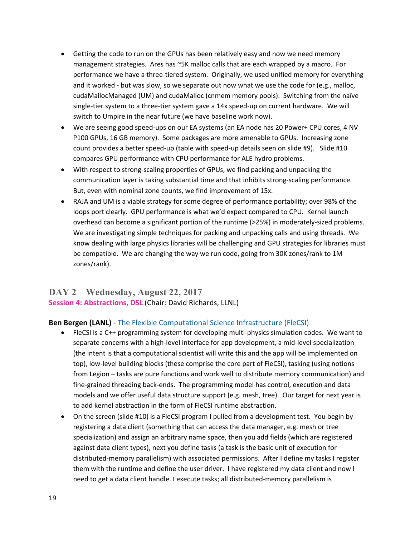- Getting the code to run on the GPUs has been relatively easy and now we need memory management strategies. Ares has ~5K malloc calls that are each wrapped by a macro. For performance we have a three-tiered system. Originally, we used unified memory for everything and it worked - but was slow, so we separate out now what we use the code for (e.g., malloc, cudaMallocManaged (UM) and cudaMalloc (cnmem memory pools). Switching from the naïve single-tier system to a three-tier system gave a 14x speed-up on current hardware. We will switch to Umpire in the near future (we have baseline work now).
- We are seeing good speed-ups on our EA systems (an EA node has 20 Power+ CPU cores, 4 NV P100 GPUs, 16 GB memory). Some packages are more amenable to GPUs. Increasing zone count provides a better speed-up (table with speed-up details seen on slide #9). Slide #10 compares GPU performance with CPU performance for ALE hydro problems.
- With respect to strong-scaling properties of GPUs, we find packing and unpacking the communication layer is taking substantial time and that inhibits strong-scaling performance. But, even with nominal zone counts, we find improvement of 15x.
- RAJA and UM is a viable strategy for some degree of performance portability; over 98% of the loops port clearly. GPU performance is what we'd expect compared to CPU. Kernel launch overhead can become a significant portion of the runtime (>25%) in moderately-sized problems. We are investigating simple techniques for packing and unpacking calls and using threads. We know dealing with large physics libraries will be challenging and GPU strategies for libraries must be compatible. We are changing the way we run code, going from 30K zones/rank to 1M zones/rank).

## **DAY 2 – Wednesday, August 22, 2017 Session 4: Abstractions, DSL** (Chair: David Richards, LLNL)

#### **Ben Bergen (LANL)** - The Flexible Computational Science Infrastructure (FleCSI)

- FleCSI is a C++ programming system for developing multi-physics simulation codes. We want to separate concerns with a high-level interface for app development, a mid-level specialization (the intent is that a computational scientist will write this and the app will be implemented on top), low-level building blocks (these comprise the core part of FleCSI), tasking (using notions from Legion – tasks are pure functions and work well to distribute memory communication) and fine-grained threading back-ends. The programming model has control, execution and data models and we offer useful data structure support (e.g. mesh, tree). Our target for next year is to add kernel abstraction in the form of FleCSI runtime abstraction.
- On the screen (slide #10) is a FleCSI program I pulled from a development test. You begin by registering a data client (something that can access the data manager, e.g. mesh or tree specialization) and assign an arbitrary name space, then you add fields (which are registered against data client types), next you define tasks (a task is the basic unit of execution for distributed-memory parallelism) with associated permissions. After I define my tasks I register them with the runtime and define the user driver. I have registered my data client and now I need to get a data client handle. I execute tasks; all distributed-memory parallelism is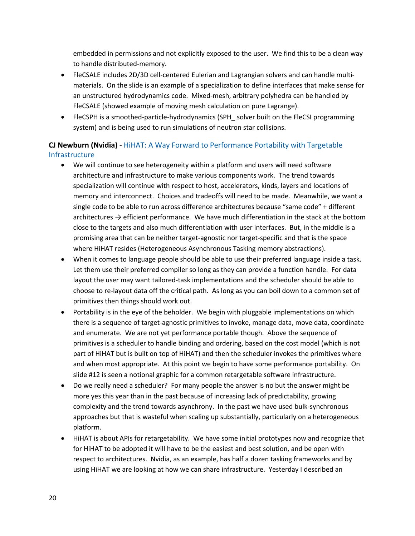embedded in permissions and not explicitly exposed to the user. We find this to be a clean way to handle distributed-memory.

- FleCSALE includes 2D/3D cell-centered Eulerian and Lagrangian solvers and can handle multimaterials. On the slide is an example of a specialization to define interfaces that make sense for an unstructured hydrodynamics code. Mixed-mesh, arbitrary polyhedra can be handled by FleCSALE (showed example of moving mesh calculation on pure Lagrange).
- FleCSPH is a smoothed-particle-hydrodynamics (SPH solver built on the FleCSI programming system) and is being used to run simulations of neutron star collisions.

## **CJ Newburn (Nvidia)** - HiHAT: A Way Forward to Performance Portability with Targetable Infrastructure

- We will continue to see heterogeneity within a platform and users will need software architecture and infrastructure to make various components work. The trend towards specialization will continue with respect to host, accelerators, kinds, layers and locations of memory and interconnect. Choices and tradeoffs will need to be made. Meanwhile, we want a single code to be able to run across difference architectures because "same code" + different architectures  $\rightarrow$  efficient performance. We have much differentiation in the stack at the bottom close to the targets and also much differentiation with user interfaces. But, in the middle is a promising area that can be neither target-agnostic nor target-specific and that is the space where HiHAT resides (Heterogeneous Asynchronous Tasking memory abstractions).
- When it comes to language people should be able to use their preferred language inside a task. Let them use their preferred compiler so long as they can provide a function handle. For data layout the user may want tailored-task implementations and the scheduler should be able to choose to re-layout data off the critical path. As long as you can boil down to a common set of primitives then things should work out.
- Portability is in the eye of the beholder. We begin with pluggable implementations on which there is a sequence of target-agnostic primitives to invoke, manage data, move data, coordinate and enumerate. We are not yet performance portable though. Above the sequence of primitives is a scheduler to handle binding and ordering, based on the cost model (which is not part of HiHAT but is built on top of HiHAT) and then the scheduler invokes the primitives where and when most appropriate. At this point we begin to have some performance portability. On slide #12 is seen a notional graphic for a common retargetable software infrastructure.
- Do we really need a scheduler? For many people the answer is no but the answer might be more yes this year than in the past because of increasing lack of predictability, growing complexity and the trend towards asynchrony. In the past we have used bulk-synchronous approaches but that is wasteful when scaling up substantially, particularly on a heterogeneous platform.
- HiHAT is about APIs for retargetability. We have some initial prototypes now and recognize that for HiHAT to be adopted it will have to be the easiest and best solution, and be open with respect to architectures. Nvidia, as an example, has half a dozen tasking frameworks and by using HiHAT we are looking at how we can share infrastructure. Yesterday I described an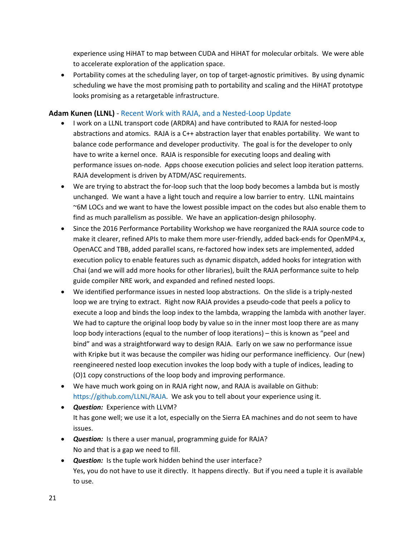experience using HiHAT to map between CUDA and HiHAT for molecular orbitals. We were able to accelerate exploration of the application space.

• Portability comes at the scheduling layer, on top of target-agnostic primitives. By using dynamic scheduling we have the most promising path to portability and scaling and the HiHAT prototype looks promising as a retargetable infrastructure.

#### **Adam Kunen (LLNL)** - Recent Work with RAJA, and a Nested-Loop Update

- I work on a LLNL transport code (ARDRA) and have contributed to RAJA for nested-loop abstractions and atomics. RAJA is a C++ abstraction layer that enables portability. We want to balance code performance and developer productivity. The goal is for the developer to only have to write a kernel once. RAJA is responsible for executing loops and dealing with performance issues on-node. Apps choose execution policies and select loop iteration patterns. RAJA development is driven by ATDM/ASC requirements.
- We are trying to abstract the for-loop such that the loop body becomes a lambda but is mostly unchanged. We want a have a light touch and require a low barrier to entry. LLNL maintains ~6M LOCs and we want to have the lowest possible impact on the codes but also enable them to find as much parallelism as possible. We have an application-design philosophy.
- Since the 2016 Performance Portability Workshop we have reorganized the RAJA source code to make it clearer, refined APIs to make them more user-friendly, added back-ends for OpenMP4.x, OpenACC and TBB, added parallel scans, re-factored how index sets are implemented, added execution policy to enable features such as dynamic dispatch, added hooks for integration with Chai (and we will add more hooks for other libraries), built the RAJA performance suite to help guide compiler NRE work, and expanded and refined nested loops.
- We identified performance issues in nested loop abstractions. On the slide is a triply-nested loop we are trying to extract. Right now RAJA provides a pseudo-code that peels a policy to execute a loop and binds the loop index to the lambda, wrapping the lambda with another layer. We had to capture the original loop body by value so in the inner most loop there are as many loop body interactions (equal to the number of loop iterations) – this is known as "peel and bind" and was a straightforward way to design RAJA. Early on we saw no performance issue with Kripke but it was because the compiler was hiding our performance inefficiency. Our (new) reengineered nested loop execution invokes the loop body with a tuple of indices, leading to (O)1 copy constructions of the loop body and improving performance.
- We have much work going on in RAJA right now, and RAJA is available on Github: https://github.com/LLNL/RAJA. We ask you to tell about your experience using it.
- *Question:* Experience with LLVM? It has gone well; we use it a lot, especially on the Sierra EA machines and do not seem to have issues.
- *Question:* Is there a user manual, programming guide for RAJA? No and that is a gap we need to fill.
- *Question:* Is the tuple work hidden behind the user interface? Yes, you do not have to use it directly. It happens directly. But if you need a tuple it is available to use.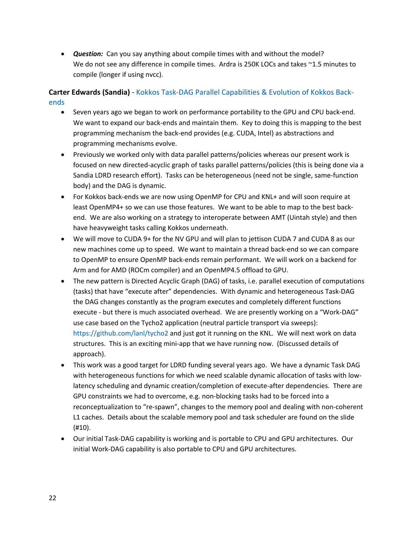• *Question:* Can you say anything about compile times with and without the model? We do not see any difference in compile times. Ardra is 250K LOCs and takes ~1.5 minutes to compile (longer if using nvcc).

## **Carter Edwards (Sandia)** - Kokkos Task-DAG Parallel Capabilities & Evolution of Kokkos Backends

- Seven years ago we began to work on performance portability to the GPU and CPU back-end. We want to expand our back-ends and maintain them. Key to doing this is mapping to the best programming mechanism the back-end provides (e.g. CUDA, Intel) as abstractions and programming mechanisms evolve.
- Previously we worked only with data parallel patterns/policies whereas our present work is focused on new directed-acyclic graph of tasks parallel patterns/policies (this is being done via a Sandia LDRD research effort). Tasks can be heterogeneous (need not be single, same-function body) and the DAG is dynamic.
- For Kokkos back-ends we are now using OpenMP for CPU and KNL+ and will soon require at least OpenMP4+ so we can use those features. We want to be able to map to the best backend. We are also working on a strategy to interoperate between AMT (Uintah style) and then have heavyweight tasks calling Kokkos underneath.
- We will move to CUDA 9+ for the NV GPU and will plan to jettison CUDA 7 and CUDA 8 as our new machines come up to speed. We want to maintain a thread back-end so we can compare to OpenMP to ensure OpenMP back-ends remain performant. We will work on a backend for Arm and for AMD (ROCm compiler) and an OpenMP4.5 offload to GPU.
- The new pattern is Directed Acyclic Graph (DAG) of tasks, i.e. parallel execution of computations (tasks) that have "execute after" dependencies. With dynamic and heterogeneous Task-DAG the DAG changes constantly as the program executes and completely different functions execute - but there is much associated overhead. We are presently working on a "Work-DAG" use case based on the Tycho2 application (neutral particle transport via sweeps): https://github.com/lanl/tycho2 and just got it running on the KNL. We will next work on data structures. This is an exciting mini-app that we have running now. (Discussed details of approach).
- This work was a good target for LDRD funding several years ago. We have a dynamic Task DAG with heterogeneous functions for which we need scalable dynamic allocation of tasks with lowlatency scheduling and dynamic creation/completion of execute-after dependencies. There are GPU constraints we had to overcome, e.g. non-blocking tasks had to be forced into a reconceptualization to "re-spawn", changes to the memory pool and dealing with non-coherent L1 caches. Details about the scalable memory pool and task scheduler are found on the slide (#10).
- Our initial Task-DAG capability is working and is portable to CPU and GPU architectures. Our initial Work-DAG capability is also portable to CPU and GPU architectures.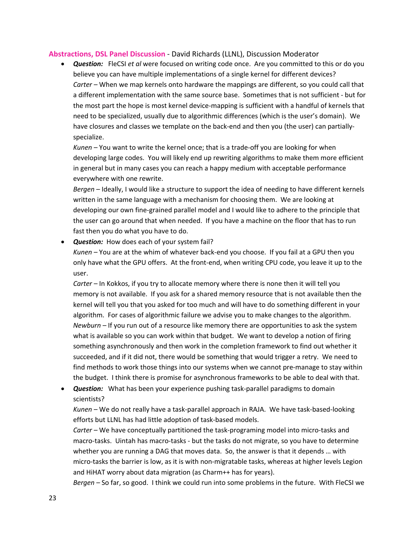#### **Abstractions, DSL Panel Discussion** - David Richards (LLNL), Discussion Moderator

• *Question:* FleCSI *et al* were focused on writing code once. Are you committed to this or do you believe you can have multiple implementations of a single kernel for different devices? *Carter –* When we map kernels onto hardware the mappings are different, so you could call that a different implementation with the same source base. Sometimes that is not sufficient - but for the most part the hope is most kernel device-mapping is sufficient with a handful of kernels that need to be specialized, usually due to algorithmic differences (which is the user's domain). We have closures and classes we template on the back-end and then you (the user) can partiallyspecialize.

*Kunen –* You want to write the kernel once; that is a trade-off you are looking for when developing large codes. You will likely end up rewriting algorithms to make them more efficient in general but in many cases you can reach a happy medium with acceptable performance everywhere with one rewrite.

*Bergen* – Ideally, I would like a structure to support the idea of needing to have different kernels written in the same language with a mechanism for choosing them. We are looking at developing our own fine-grained parallel model and I would like to adhere to the principle that the user can go around that when needed. If you have a machine on the floor that has to run fast then you do what you have to do.

• *Question:* How does each of your system fail?

*Kunen –* You are at the whim of whatever back-end you choose. If you fail at a GPU then you only have what the GPU offers. At the front-end, when writing CPU code, you leave it up to the user.

*Carter –* In Kokkos, if you try to allocate memory where there is none then it will tell you memory is not available. If you ask for a shared memory resource that is not available then the kernel will tell you that you asked for too much and will have to do something different in your algorithm. For cases of algorithmic failure we advise you to make changes to the algorithm. *Newburn –* If you run out of a resource like memory there are opportunities to ask the system what is available so you can work within that budget. We want to develop a notion of firing something asynchronously and then work in the completion framework to find out whether it succeeded, and if it did not, there would be something that would trigger a retry. We need to find methods to work those things into our systems when we cannot pre-manage to stay within the budget. I think there is promise for asynchronous frameworks to be able to deal with that.

• *Question:* What has been your experience pushing task-parallel paradigms to domain scientists?

*Kunen –* We do not really have a task-parallel approach in RAJA. We have task-based-looking efforts but LLNL has had little adoption of task-based models.

*Carter –* We have conceptually partitioned the task-programing model into micro-tasks and macro-tasks. Uintah has macro-tasks - but the tasks do not migrate, so you have to determine whether you are running a DAG that moves data. So, the answer is that it depends … with micro-tasks the barrier is low, as it is with non-migratable tasks, whereas at higher levels Legion and HiHAT worry about data migration (as Charm++ has for years).

*Bergen –* So far, so good. I think we could run into some problems in the future. With FleCSI we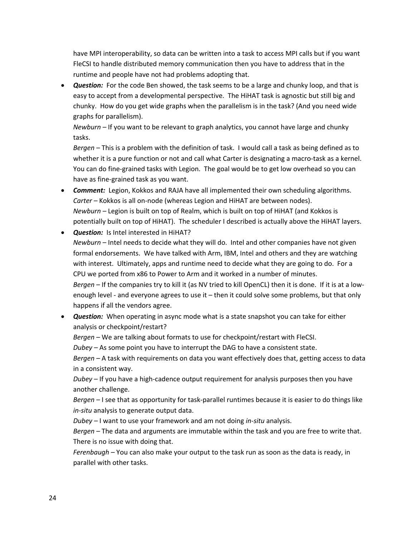have MPI interoperability, so data can be written into a task to access MPI calls but if you want FleCSI to handle distributed memory communication then you have to address that in the runtime and people have not had problems adopting that.

• *Question:* For the code Ben showed, the task seems to be a large and chunky loop, and that is easy to accept from a developmental perspective. The HiHAT task is agnostic but still big and chunky. How do you get wide graphs when the parallelism is in the task? (And you need wide graphs for parallelism).

*Newburn –* If you want to be relevant to graph analytics, you cannot have large and chunky tasks.

*Bergen –* This is a problem with the definition of task. I would call a task as being defined as to whether it is a pure function or not and call what Carter is designating a macro-task as a kernel. You can do fine-grained tasks with Legion. The goal would be to get low overhead so you can have as fine-grained task as you want.

- *Comment:* Legion, Kokkos and RAJA have all implemented their own scheduling algorithms. *Carter –* Kokkos is all on-node (whereas Legion and HiHAT are between nodes). *Newburn –* Legion is built on top of Realm, which is built on top of HiHAT (and Kokkos is potentially built on top of HiHAT). The scheduler I described is actually above the HiHAT layers.
- *Question:* Is Intel interested in HiHAT? *Newburn* – Intel needs to decide what they will do. Intel and other companies have not given formal endorsements. We have talked with Arm, IBM, Intel and others and they are watching with interest. Ultimately, apps and runtime need to decide what they are going to do. For a CPU we ported from x86 to Power to Arm and it worked in a number of minutes. *Bergen –* If the companies try to kill it (as NV tried to kill OpenCL) then it is done. If it is at a lowenough level - and everyone agrees to use it – then it could solve some problems, but that only happens if all the vendors agree.
- *Question:* When operating in async mode what is a state snapshot you can take for either analysis or checkpoint/restart?

*Bergen –* We are talking about formats to use for checkpoint/restart with FleCSI.

*Dubey –* As some point you have to interrupt the DAG to have a consistent state.

*Bergen –* A task with requirements on data you want effectively does that, getting access to data in a consistent way.

*Dubey* – If you have a high-cadence output requirement for analysis purposes then you have another challenge.

*Bergen –* I see that as opportunity for task-parallel runtimes because it is easier to do things like *in-situ* analysis to generate output data.

*Dubey –* I want to use your framework and am not doing *in-situ* analysis.

*Bergen –* The data and arguments are immutable within the task and you are free to write that. There is no issue with doing that.

*Ferenbaugh –* You can also make your output to the task run as soon as the data is ready, in parallel with other tasks.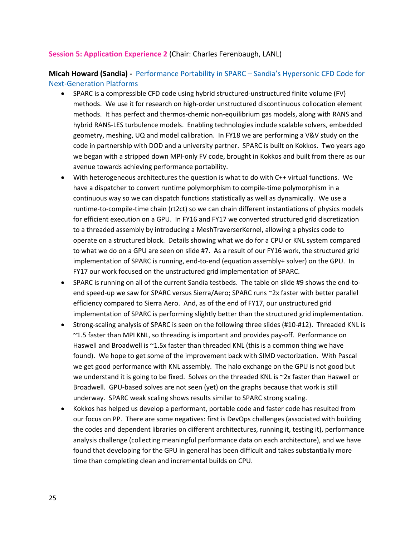#### **Session 5: Application Experience 2** (Chair: Charles Ferenbaugh, LANL)

**Micah Howard (Sandia)** *-* Performance Portability in SPARC – Sandia's Hypersonic CFD Code for Next-Generation Platforms

- SPARC is a compressible CFD code using hybrid structured-unstructured finite volume (FV) methods. We use it for research on high-order unstructured discontinuous collocation element methods. It has perfect and thermos-chemic non-equilibrium gas models, along with RANS and hybrid RANS-LES turbulence models. Enabling technologies include scalable solvers, embedded geometry, meshing, UQ and model calibration. In FY18 we are performing a V&V study on the code in partnership with DOD and a university partner. SPARC is built on Kokkos. Two years ago we began with a stripped down MPI-only FV code, brought in Kokkos and built from there as our avenue towards achieving performance portability.
- With heterogeneous architectures the question is what to do with C++ virtual functions. We have a dispatcher to convert runtime polymorphism to compile-time polymorphism in a continuous way so we can dispatch functions statistically as well as dynamically. We use a runtime-to-compile-time chain (rt2ct) so we can chain different instantiations of physics models for efficient execution on a GPU. In FY16 and FY17 we converted structured grid discretization to a threaded assembly by introducing a MeshTraverserKernel, allowing a physics code to operate on a structured block. Details showing what we do for a CPU or KNL system compared to what we do on a GPU are seen on slide #7. As a result of our FY16 work, the structured grid implementation of SPARC is running, end-to-end (equation assembly+ solver) on the GPU. In FY17 our work focused on the unstructured grid implementation of SPARC.
- SPARC is running on all of the current Sandia testbeds. The table on slide #9 shows the end-toend speed-up we saw for SPARC versus Sierra/Aero; SPARC runs ~2x faster with better parallel efficiency compared to Sierra Aero. And, as of the end of FY17, our unstructured grid implementation of SPARC is performing slightly better than the structured grid implementation.
- Strong-scaling analysis of SPARC is seen on the following three slides (#10-#12). Threaded KNL is ~1.5 faster than MPI KNL, so threading is important and provides pay-off. Performance on Haswell and Broadwell is ~1.5x faster than threaded KNL (this is a common thing we have found). We hope to get some of the improvement back with SIMD vectorization. With Pascal we get good performance with KNL assembly. The halo exchange on the GPU is not good but we understand it is going to be fixed. Solves on the threaded KNL is ~2x faster than Haswell or Broadwell. GPU-based solves are not seen (yet) on the graphs because that work is still underway. SPARC weak scaling shows results similar to SPARC strong scaling.
- Kokkos has helped us develop a performant, portable code and faster code has resulted from our focus on PP. There are some negatives: first is DevOps challenges (associated with building the codes and dependent libraries on different architectures, running it, testing it), performance analysis challenge (collecting meaningful performance data on each architecture), and we have found that developing for the GPU in general has been difficult and takes substantially more time than completing clean and incremental builds on CPU.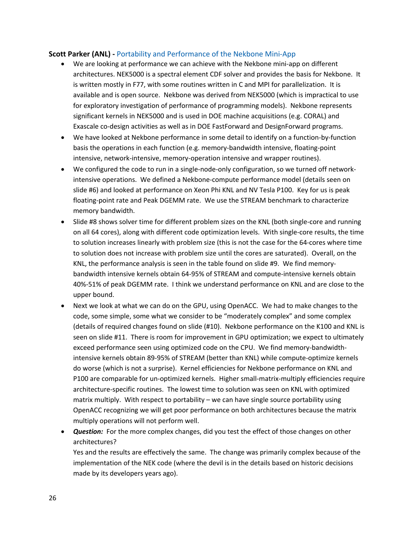#### **Scott Parker (ANL) -** Portability and Performance of the Nekbone Mini-App

- We are looking at performance we can achieve with the Nekbone mini-app on different architectures. NEK5000 is a spectral element CDF solver and provides the basis for Nekbone. It is written mostly in F77, with some routines written in C and MPI for parallelization. It is available and is open source. Nekbone was derived from NEK5000 (which is impractical to use for exploratory investigation of performance of programming models). Nekbone represents significant kernels in NEK5000 and is used in DOE machine acquisitions (e.g. CORAL) and Exascale co-design activities as well as in DOE FastForward and DesignForward programs.
- We have looked at Nekbone performance in some detail to identify on a function-by-function basis the operations in each function (e.g. memory-bandwidth intensive, floating-point intensive, network-intensive, memory-operation intensive and wrapper routines).
- We configured the code to run in a single-node-only configuration, so we turned off networkintensive operations. We defined a Nekbone-compute performance model (details seen on slide #6) and looked at performance on Xeon Phi KNL and NV Tesla P100. Key for us is peak floating-point rate and Peak DGEMM rate. We use the STREAM benchmark to characterize memory bandwidth.
- Slide #8 shows solver time for different problem sizes on the KNL (both single-core and running on all 64 cores), along with different code optimization levels. With single-core results, the time to solution increases linearly with problem size (this is not the case for the 64-cores where time to solution does not increase with problem size until the cores are saturated). Overall, on the KNL, the performance analysis is seen in the table found on slide #9. We find memorybandwidth intensive kernels obtain 64-95% of STREAM and compute-intensive kernels obtain 40%-51% of peak DGEMM rate. I think we understand performance on KNL and are close to the upper bound.
- Next we look at what we can do on the GPU, using OpenACC. We had to make changes to the code, some simple, some what we consider to be "moderately complex" and some complex (details of required changes found on slide (#10). Nekbone performance on the K100 and KNL is seen on slide #11. There is room for improvement in GPU optimization; we expect to ultimately exceed performance seen using optimized code on the CPU. We find memory-bandwidthintensive kernels obtain 89-95% of STREAM (better than KNL) while compute-optimize kernels do worse (which is not a surprise). Kernel efficiencies for Nekbone performance on KNL and P100 are comparable for un-optimized kernels. Higher small-matrix-multiply efficiencies require architecture-specific routines. The lowest time to solution was seen on KNL with optimized matrix multiply. With respect to portability – we can have single source portability using OpenACC recognizing we will get poor performance on both architectures because the matrix multiply operations will not perform well.
- **Question:** For the more complex changes, did you test the effect of those changes on other architectures?

Yes and the results are effectively the same. The change was primarily complex because of the implementation of the NEK code (where the devil is in the details based on historic decisions made by its developers years ago).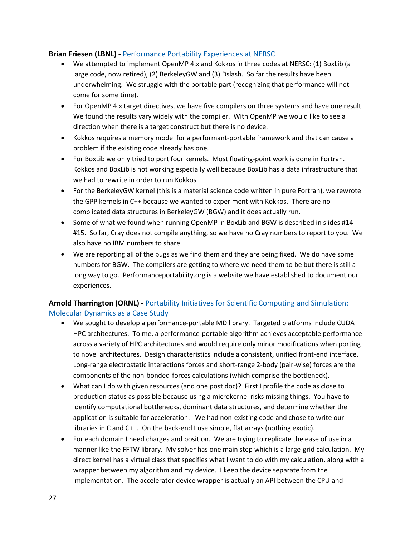#### **Brian Friesen (LBNL) -** Performance Portability Experiences at NERSC

- We attempted to implement OpenMP 4.x and Kokkos in three codes at NERSC: (1) BoxLib (a large code, now retired), (2) BerkeleyGW and (3) Dslash. So far the results have been underwhelming. We struggle with the portable part (recognizing that performance will not come for some time).
- For OpenMP 4.x target directives, we have five compilers on three systems and have one result. We found the results vary widely with the compiler. With OpenMP we would like to see a direction when there is a target construct but there is no device.
- Kokkos requires a memory model for a performant-portable framework and that can cause a problem if the existing code already has one.
- For BoxLib we only tried to port four kernels. Most floating-point work is done in Fortran. Kokkos and BoxLib is not working especially well because BoxLib has a data infrastructure that we had to rewrite in order to run Kokkos.
- For the BerkeleyGW kernel (this is a material science code written in pure Fortran), we rewrote the GPP kernels in C++ because we wanted to experiment with Kokkos. There are no complicated data structures in BerkeleyGW (BGW) and it does actually run.
- Some of what we found when running OpenMP in BoxLib and BGW is described in slides #14- #15. So far, Cray does not compile anything, so we have no Cray numbers to report to you. We also have no IBM numbers to share.
- We are reporting all of the bugs as we find them and they are being fixed. We do have some numbers for BGW. The compilers are getting to where we need them to be but there is still a long way to go. Performanceportability.org is a website we have established to document our experiences.

## **Arnold Tharrington (ORNL) -** Portability Initiatives for Scientific Computing and Simulation: Molecular Dynamics as a Case Study

- We sought to develop a performance-portable MD library. Targeted platforms include CUDA HPC architectures. To me, a performance-portable algorithm achieves acceptable performance across a variety of HPC architectures and would require only minor modifications when porting to novel architectures. Design characteristics include a consistent, unified front-end interface. Long-range electrostatic interactions forces and short-range 2-body (pair-wise) forces are the components of the non-bonded-forces calculations (which comprise the bottleneck).
- What can I do with given resources (and one post doc)? First I profile the code as close to production status as possible because using a microkernel risks missing things. You have to identify computational bottlenecks, dominant data structures, and determine whether the application is suitable for acceleration. We had non-existing code and chose to write our libraries in C and C++. On the back-end I use simple, flat arrays (nothing exotic).
- For each domain I need charges and position. We are trying to replicate the ease of use in a manner like the FFTW library. My solver has one main step which is a large-grid calculation. My direct kernel has a virtual class that specifies what I want to do with my calculation, along with a wrapper between my algorithm and my device. I keep the device separate from the implementation. The accelerator device wrapper is actually an API between the CPU and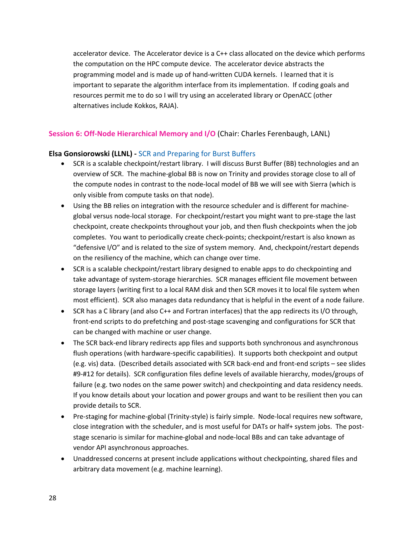accelerator device. The Accelerator device is a C++ class allocated on the device which performs the computation on the HPC compute device. The accelerator device abstracts the programming model and is made up of hand-written CUDA kernels. I learned that it is important to separate the algorithm interface from its implementation. If coding goals and resources permit me to do so I will try using an accelerated library or OpenACC (other alternatives include Kokkos, RAJA).

## **Session 6: Off-Node Hierarchical Memory and I/O** (Chair: Charles Ferenbaugh, LANL)

#### **Elsa Gonsiorowski (LLNL) -** SCR and Preparing for Burst Buffers

- SCR is a scalable checkpoint/restart library. I will discuss Burst Buffer (BB) technologies and an overview of SCR. The machine-global BB is now on Trinity and provides storage close to all of the compute nodes in contrast to the node-local model of BB we will see with Sierra (which is only visible from compute tasks on that node).
- Using the BB relies on integration with the resource scheduler and is different for machineglobal versus node-local storage. For checkpoint/restart you might want to pre-stage the last checkpoint, create checkpoints throughout your job, and then flush checkpoints when the job completes. You want to periodically create check-points; checkpoint/restart is also known as "defensive I/O" and is related to the size of system memory. And, checkpoint/restart depends on the resiliency of the machine, which can change over time.
- SCR is a scalable checkpoint/restart library designed to enable apps to do checkpointing and take advantage of system-storage hierarchies. SCR manages efficient file movement between storage layers (writing first to a local RAM disk and then SCR moves it to local file system when most efficient). SCR also manages data redundancy that is helpful in the event of a node failure.
- SCR has a C library (and also C++ and Fortran interfaces) that the app redirects its I/O through, front-end scripts to do prefetching and post-stage scavenging and configurations for SCR that can be changed with machine or user change.
- The SCR back-end library redirects app files and supports both synchronous and asynchronous flush operations (with hardware-specific capabilities). It supports both checkpoint and output (e.g. vis) data. (Described details associated with SCR back-end and front-end scripts – see slides #9-#12 for details). SCR configuration files define levels of available hierarchy, modes/groups of failure (e.g. two nodes on the same power switch) and checkpointing and data residency needs. If you know details about your location and power groups and want to be resilient then you can provide details to SCR.
- Pre-staging for machine-global (Trinity-style) is fairly simple. Node-local requires new software, close integration with the scheduler, and is most useful for DATs or half+ system jobs. The poststage scenario is similar for machine-global and node-local BBs and can take advantage of vendor API asynchronous approaches.
- Unaddressed concerns at present include applications without checkpointing, shared files and arbitrary data movement (e.g. machine learning).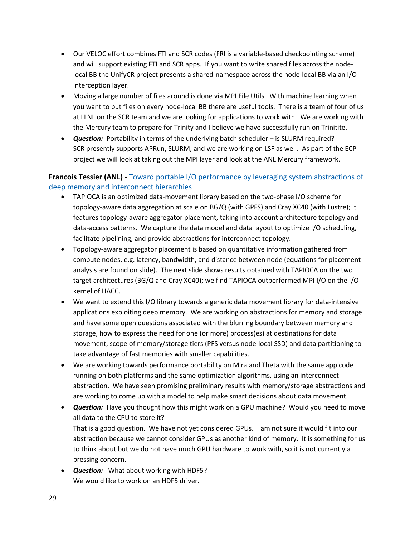- Our VELOC effort combines FTI and SCR codes (FRI is a variable-based checkpointing scheme) and will support existing FTI and SCR apps. If you want to write shared files across the nodelocal BB the UnifyCR project presents a shared-namespace across the node-local BB via an I/O interception layer.
- Moving a large number of files around is done via MPI File Utils. With machine learning when you want to put files on every node-local BB there are useful tools. There is a team of four of us at LLNL on the SCR team and we are looking for applications to work with. We are working with the Mercury team to prepare for Trinity and I believe we have successfully run on Trinitite.
- **Question:** Portability in terms of the underlying batch scheduler is SLURM required? SCR presently supports APRun, SLURM, and we are working on LSF as well. As part of the ECP project we will look at taking out the MPI layer and look at the ANL Mercury framework.

### **Francois Tessier (ANL) -** Toward portable I/O performance by leveraging system abstractions of deep memory and interconnect hierarchies

- TAPIOCA is an optimized data-movement library based on the two-phase I/O scheme for topology-aware data aggregation at scale on BG/Q (with GPFS) and Cray XC40 (with Lustre); it features topology-aware aggregator placement, taking into account architecture topology and data-access patterns. We capture the data model and data layout to optimize I/O scheduling, facilitate pipelining, and provide abstractions for interconnect topology.
- Topology-aware aggregator placement is based on quantitative information gathered from compute nodes, e.g. latency, bandwidth, and distance between node (equations for placement analysis are found on slide). The next slide shows results obtained with TAPIOCA on the two target architectures (BG/Q and Cray XC40); we find TAPIOCA outperformed MPI I/O on the I/O kernel of HACC.
- We want to extend this I/O library towards a generic data movement library for data-intensive applications exploiting deep memory. We are working on abstractions for memory and storage and have some open questions associated with the blurring boundary between memory and storage, how to express the need for one (or more) process(es) at destinations for data movement, scope of memory/storage tiers (PFS versus node-local SSD) and data partitioning to take advantage of fast memories with smaller capabilities.
- We are working towards performance portability on Mira and Theta with the same app code running on both platforms and the same optimization algorithms, using an interconnect abstraction. We have seen promising preliminary results with memory/storage abstractions and are working to come up with a model to help make smart decisions about data movement.
- *Question:* Have you thought how this might work on a GPU machine? Would you need to move all data to the CPU to store it? That is a good question. We have not yet considered GPUs. I am not sure it would fit into our abstraction because we cannot consider GPUs as another kind of memory. It is something for us to think about but we do not have much GPU hardware to work with, so it is not currently a pressing concern.
- *Question:* What about working with HDF5? We would like to work on an HDF5 driver.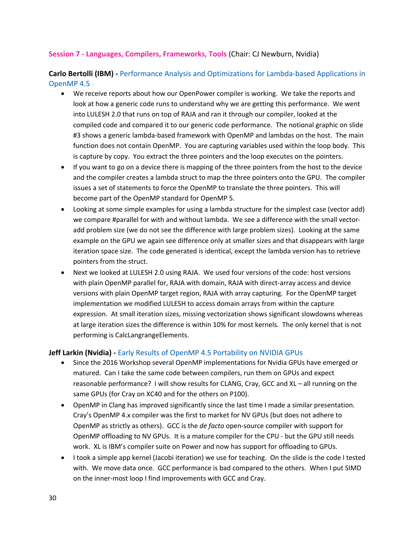#### **Session 7 - Languages, Compilers, Frameworks, Tools** (Chair: CJ Newburn, Nvidia)

**Carlo Bertolli (IBM) -** Performance Analysis and Optimizations for Lambda-based Applications in OpenMP 4.5

- We receive reports about how our OpenPower compiler is working. We take the reports and look at how a generic code runs to understand why we are getting this performance. We went into LULESH 2.0 that runs on top of RAJA and ran it through our compiler, looked at the compiled code and compared it to our generic code performance. The notional graphic on slide #3 shows a generic lambda-based framework with OpenMP and lambdas on the host. The main function does not contain OpenMP. You are capturing variables used within the loop body. This is capture by copy. You extract the three pointers and the loop executes on the pointers.
- If you want to go on a device there is mapping of the three pointers from the host to the device and the compiler creates a lambda struct to map the three pointers onto the GPU. The compiler issues a set of statements to force the OpenMP to translate the three pointers. This will become part of the OpenMP standard for OpenMP 5.
- Looking at some simple examples for using a lambda structure for the simplest case (vector add) we compare #parallel for with and without lambda. We see a difference with the small vectoradd problem size (we do not see the difference with large problem sizes). Looking at the same example on the GPU we again see difference only at smaller sizes and that disappears with large iteration space size. The code generated is identical, except the lambda version has to retrieve pointers from the struct.
- Next we looked at LULESH 2.0 using RAJA. We used four versions of the code: host versions with plain OpenMP parallel for, RAJA with domain, RAJA with direct-array access and device versions with plain OpenMP target region, RAJA with array capturing. For the OpenMP target implementation we modified LULESH to access domain arrays from within the capture expression. At small iteration sizes, missing vectorization shows significant slowdowns whereas at large iteration sizes the difference is within 10% for most kernels. The only kernel that is not performing is CalcLangrangeElements.

#### **Jeff Larkin (Nvidia) -** Early Results of OpenMP 4.5 Portability on NVIDIA GPUs

- Since the 2016 Workshop several OpenMP implementations for Nvidia GPUs have emerged or matured. Can I take the same code between compilers, run them on GPUs and expect reasonable performance? I will show results for CLANG, Cray, GCC and XL – all running on the same GPUs (for Cray on XC40 and for the others on P100).
- OpenMP in Clang has improved significantly since the last time I made a similar presentation. Cray's OpenMP 4.x compiler was the first to market for NV GPUs (but does not adhere to OpenMP as strictly as others). GCC is the *de facto* open-source compiler with support for OpenMP offloading to NV GPUs. It is a mature compiler for the CPU - but the GPU still needs work. XL is IBM's compiler suite on Power and now has support for offloading to GPUs.
- I took a simple app kernel (Jacobi iteration) we use for teaching. On the slide is the code I tested with. We move data once. GCC performance is bad compared to the others. When I put SIMD on the inner-most loop I find improvements with GCC and Cray.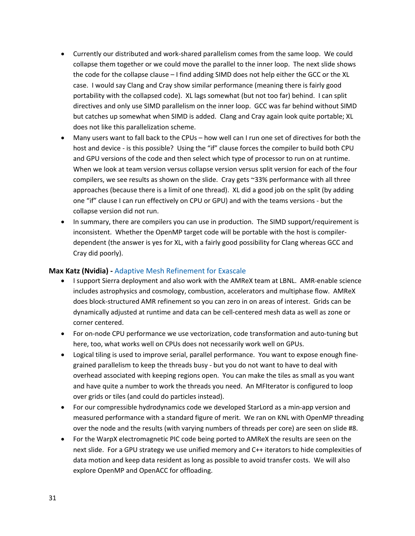- Currently our distributed and work-shared parallelism comes from the same loop. We could collapse them together or we could move the parallel to the inner loop. The next slide shows the code for the collapse clause – I find adding SIMD does not help either the GCC or the XL case. I would say Clang and Cray show similar performance (meaning there is fairly good portability with the collapsed code). XL lags somewhat (but not too far) behind. I can split directives and only use SIMD parallelism on the inner loop. GCC was far behind without SIMD but catches up somewhat when SIMD is added. Clang and Cray again look quite portable; XL does not like this parallelization scheme.
- Many users want to fall back to the CPUs how well can I run one set of directives for both the host and device - is this possible? Using the "if" clause forces the compiler to build both CPU and GPU versions of the code and then select which type of processor to run on at runtime. When we look at team version versus collapse version versus split version for each of the four compilers, we see results as shown on the slide. Cray gets ~33% performance with all three approaches (because there is a limit of one thread). XL did a good job on the split (by adding one "if" clause I can run effectively on CPU or GPU) and with the teams versions - but the collapse version did not run.
- In summary, there are compilers you can use in production. The SIMD support/requirement is inconsistent. Whether the OpenMP target code will be portable with the host is compilerdependent (the answer is yes for XL, with a fairly good possibility for Clang whereas GCC and Cray did poorly).

#### **Max Katz (Nvidia) -** Adaptive Mesh Refinement for Exascale

- I support Sierra deployment and also work with the AMReX team at LBNL. AMR-enable science includes astrophysics and cosmology, combustion, accelerators and multiphase flow. AMReX does block-structured AMR refinement so you can zero in on areas of interest. Grids can be dynamically adjusted at runtime and data can be cell-centered mesh data as well as zone or corner centered.
- For on-node CPU performance we use vectorization, code transformation and auto-tuning but here, too, what works well on CPUs does not necessarily work well on GPUs.
- Logical tiling is used to improve serial, parallel performance. You want to expose enough finegrained parallelism to keep the threads busy - but you do not want to have to deal with overhead associated with keeping regions open. You can make the tiles as small as you want and have quite a number to work the threads you need. An MFIterator is configured to loop over grids or tiles (and could do particles instead).
- For our compressible hydrodynamics code we developed StarLord as a min-app version and measured performance with a standard figure of merit. We ran on KNL with OpenMP threading over the node and the results (with varying numbers of threads per core) are seen on slide #8.
- For the WarpX electromagnetic PIC code being ported to AMReX the results are seen on the next slide. For a GPU strategy we use unified memory and C++ iterators to hide complexities of data motion and keep data resident as long as possible to avoid transfer costs. We will also explore OpenMP and OpenACC for offloading.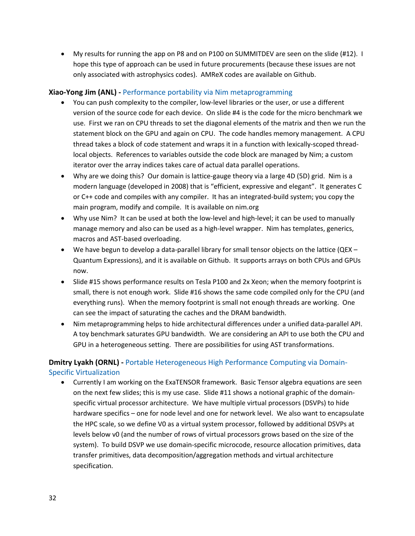• My results for running the app on P8 and on P100 on SUMMITDEV are seen on the slide (#12). I hope this type of approach can be used in future procurements (because these issues are not only associated with astrophysics codes). AMReX codes are available on Github.

#### **Xiao-Yong Jim (ANL) -** Performance portability via Nim metaprogramming

- You can push complexity to the compiler, low-level libraries or the user, or use a different version of the source code for each device. On slide #4 is the code for the micro benchmark we use. First we ran on CPU threads to set the diagonal elements of the matrix and then we run the statement block on the GPU and again on CPU. The code handles memory management. A CPU thread takes a block of code statement and wraps it in a function with lexically-scoped threadlocal objects. References to variables outside the code block are managed by Nim; a custom iterator over the array indices takes care of actual data parallel operations.
- Why are we doing this? Our domain is lattice-gauge theory via a large 4D (5D) grid. Nim is a modern language (developed in 2008) that is "efficient, expressive and elegant". It generates C or C++ code and compiles with any compiler. It has an integrated-build system; you copy the main program, modify and compile. It is available on nim.org
- Why use Nim? It can be used at both the low-level and high-level; it can be used to manually manage memory and also can be used as a high-level wrapper. Nim has templates, generics, macros and AST-based overloading.
- We have begun to develop a data-parallel library for small tensor objects on the lattice ( $QEX -$ Quantum Expressions), and it is available on Github. It supports arrays on both CPUs and GPUs now.
- Slide #15 shows performance results on Tesla P100 and 2x Xeon; when the memory footprint is small, there is not enough work. Slide #16 shows the same code compiled only for the CPU (and everything runs). When the memory footprint is small not enough threads are working. One can see the impact of saturating the caches and the DRAM bandwidth.
- Nim metaprogramming helps to hide architectural differences under a unified data-parallel API. A toy benchmark saturates GPU bandwidth. We are considering an API to use both the CPU and GPU in a heterogeneous setting. There are possibilities for using AST transformations.

## **Dmitry Lyakh (ORNL) -** Portable Heterogeneous High Performance Computing via Domain-Specific Virtualization

• Currently I am working on the ExaTENSOR framework. Basic Tensor algebra equations are seen on the next few slides; this is my use case. Slide #11 shows a notional graphic of the domainspecific virtual processor architecture. We have multiple virtual processors (DSVPs) to hide hardware specifics – one for node level and one for network level. We also want to encapsulate the HPC scale, so we define V0 as a virtual system processor, followed by additional DSVPs at levels below v0 (and the number of rows of virtual processors grows based on the size of the system). To build DSVP we use domain-specific microcode, resource allocation primitives, data transfer primitives, data decomposition/aggregation methods and virtual architecture specification.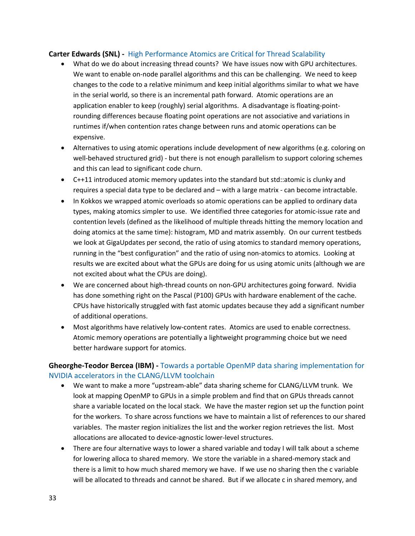#### **Carter Edwards (SNL) -** High Performance Atomics are Critical for Thread Scalability

- What do we do about increasing thread counts? We have issues now with GPU architectures. We want to enable on-node parallel algorithms and this can be challenging. We need to keep changes to the code to a relative minimum and keep initial algorithms similar to what we have in the serial world, so there is an incremental path forward. Atomic operations are an application enabler to keep (roughly) serial algorithms. A disadvantage is floating-pointrounding differences because floating point operations are not associative and variations in runtimes if/when contention rates change between runs and atomic operations can be expensive.
- Alternatives to using atomic operations include development of new algorithms (e.g. coloring on well-behaved structured grid) - but there is not enough parallelism to support coloring schemes and this can lead to significant code churn.
- C++11 introduced atomic memory updates into the standard but std::atomic is clunky and requires a special data type to be declared and – with a large matrix - can become intractable.
- In Kokkos we wrapped atomic overloads so atomic operations can be applied to ordinary data types, making atomics simpler to use. We identified three categories for atomic-issue rate and contention levels (defined as the likelihood of multiple threads hitting the memory location and doing atomics at the same time): histogram, MD and matrix assembly. On our current testbeds we look at GigaUpdates per second, the ratio of using atomics to standard memory operations, running in the "best configuration" and the ratio of using non-atomics to atomics. Looking at results we are excited about what the GPUs are doing for us using atomic units (although we are not excited about what the CPUs are doing).
- We are concerned about high-thread counts on non-GPU architectures going forward. Nvidia has done something right on the Pascal (P100) GPUs with hardware enablement of the cache. CPUs have historically struggled with fast atomic updates because they add a significant number of additional operations.
- Most algorithms have relatively low-content rates. Atomics are used to enable correctness. Atomic memory operations are potentially a lightweight programming choice but we need better hardware support for atomics.

## **Gheorghe-Teodor Bercea (IBM) -** Towards a portable OpenMP data sharing implementation for NVIDIA accelerators in the CLANG/LLVM toolchain

- We want to make a more "upstream-able" data sharing scheme for CLANG/LLVM trunk. We look at mapping OpenMP to GPUs in a simple problem and find that on GPUs threads cannot share a variable located on the local stack. We have the master region set up the function point for the workers. To share across functions we have to maintain a list of references to our shared variables. The master region initializes the list and the worker region retrieves the list. Most allocations are allocated to device-agnostic lower-level structures.
- There are four alternative ways to lower a shared variable and today I will talk about a scheme for lowering alloca to shared memory. We store the variable in a shared-memory stack and there is a limit to how much shared memory we have. If we use no sharing then the c variable will be allocated to threads and cannot be shared. But if we allocate c in shared memory, and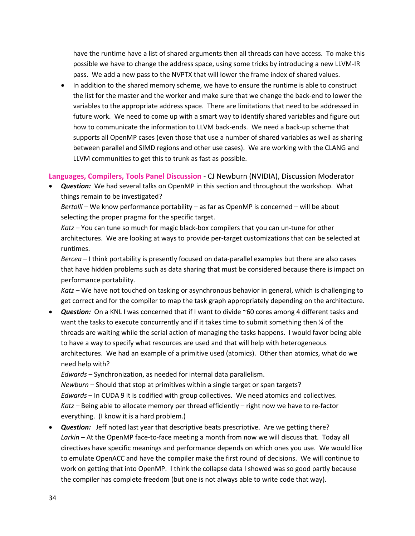have the runtime have a list of shared arguments then all threads can have access. To make this possible we have to change the address space, using some tricks by introducing a new LLVM-IR pass. We add a new pass to the NVPTX that will lower the frame index of shared values.

• In addition to the shared memory scheme, we have to ensure the runtime is able to construct the list for the master and the worker and make sure that we change the back-end to lower the variables to the appropriate address space. There are limitations that need to be addressed in future work. We need to come up with a smart way to identify shared variables and figure out how to communicate the information to LLVM back-ends. We need a back-up scheme that supports all OpenMP cases (even those that use a number of shared variables as well as sharing between parallel and SIMD regions and other use cases). We are working with the CLANG and LLVM communities to get this to trunk as fast as possible.

**Languages, Compilers, Tools Panel Discussion** - CJ Newburn (NVIDIA), Discussion Moderator

• *Question:* We had several talks on OpenMP in this section and throughout the workshop. What things remain to be investigated?

*Bertolli –* We know performance portability – as far as OpenMP is concerned – will be about selecting the proper pragma for the specific target.

*Katz –* You can tune so much for magic black-box compilers that you can un-tune for other architectures. We are looking at ways to provide per-target customizations that can be selected at runtimes.

*Bercea –* I think portability is presently focused on data-parallel examples but there are also cases that have hidden problems such as data sharing that must be considered because there is impact on performance portability.

*Katz –* We have not touched on tasking or asynchronous behavior in general, which is challenging to get correct and for the compiler to map the task graph appropriately depending on the architecture.

• *Question:* On a KNL I was concerned that if I want to divide ~60 cores among 4 different tasks and want the tasks to execute concurrently and if it takes time to submit something then % of the threads are waiting while the serial action of managing the tasks happens. I would favor being able to have a way to specify what resources are used and that will help with heterogeneous architectures. We had an example of a primitive used (atomics). Other than atomics, what do we need help with?

*Edwards –* Synchronization, as needed for internal data parallelism.

*Newburn –* Should that stop at primitives within a single target or span targets? *Edwards* – In CUDA 9 it is codified with group collectives. We need atomics and collectives. *Katz –* Being able to allocate memory per thread efficiently – right now we have to re-factor everything. (I know it is a hard problem.)

• *Question:* Jeff noted last year that descriptive beats prescriptive. Are we getting there? *Larkin* – At the OpenMP face-to-face meeting a month from now we will discuss that. Today all directives have specific meanings and performance depends on which ones you use. We would like to emulate OpenACC and have the compiler make the first round of decisions. We will continue to work on getting that into OpenMP. I think the collapse data I showed was so good partly because the compiler has complete freedom (but one is not always able to write code that way).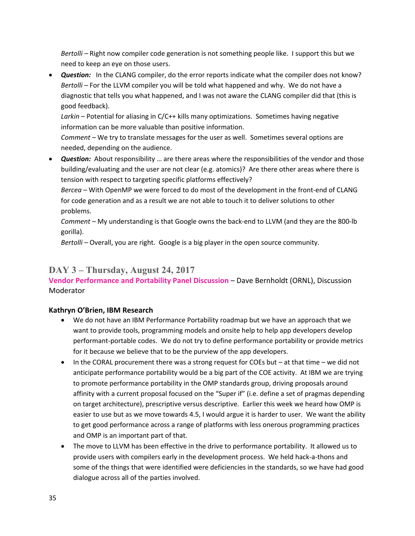*Bertolli –* Right now compiler code generation is not something people like. I support this but we need to keep an eye on those users.

• **Question:** In the CLANG compiler, do the error reports indicate what the compiler does not know? *Bertolli –* For the LLVM compiler you will be told what happened and why. We do not have a diagnostic that tells you what happened, and I was not aware the CLANG compiler did that (this is good feedback).

*Larkin* – Potential for aliasing in C/C++ kills many optimizations. Sometimes having negative information can be more valuable than positive information.

*Comment –* We try to translate messages for the user as well. Sometimes several options are needed, depending on the audience.

• *Question:* About responsibility … are there areas where the responsibilities of the vendor and those building/evaluating and the user are not clear (e.g. atomics)? Are there other areas where there is tension with respect to targeting specific platforms effectively?

*Bercea –* With OpenMP we were forced to do most of the development in the front-end of CLANG for code generation and as a result we are not able to touch it to deliver solutions to other problems.

*Comment –* My understanding is that Google owns the back-end to LLVM (and they are the 800-lb gorilla).

*Bertolli –* Overall, you are right. Google is a big player in the open source community.

## **DAY 3 – Thursday, August 24, 2017**

**Vendor Performance and Portability Panel Discussion** – Dave Bernholdt (ORNL), Discussion Moderator

## **Kathryn O'Brien, IBM Research**

- We do not have an IBM Performance Portability roadmap but we have an approach that we want to provide tools, programming models and onsite help to help app developers develop performant-portable codes. We do not try to define performance portability or provide metrics for it because we believe that to be the purview of the app developers.
- In the CORAL procurement there was a strong request for COEs but  $-$  at that time  $-$  we did not anticipate performance portability would be a big part of the COE activity. At IBM we are trying to promote performance portability in the OMP standards group, driving proposals around affinity with a current proposal focused on the "Super if" (i.e. define a set of pragmas depending on target architecture), prescriptive versus descriptive. Earlier this week we heard how OMP is easier to use but as we move towards 4.5, I would argue it is harder to user. We want the ability to get good performance across a range of platforms with less onerous programming practices and OMP is an important part of that.
- The move to LLVM has been effective in the drive to performance portability. It allowed us to provide users with compilers early in the development process. We held hack-a-thons and some of the things that were identified were deficiencies in the standards, so we have had good dialogue across all of the parties involved.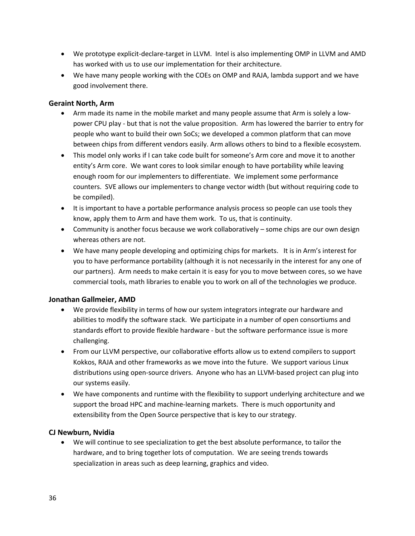- We prototype explicit-declare-target in LLVM. Intel is also implementing OMP in LLVM and AMD has worked with us to use our implementation for their architecture.
- We have many people working with the COEs on OMP and RAJA, lambda support and we have good involvement there.

#### **Geraint North, Arm**

- Arm made its name in the mobile market and many people assume that Arm is solely a lowpower CPU play - but that is not the value proposition. Arm has lowered the barrier to entry for people who want to build their own SoCs; we developed a common platform that can move between chips from different vendors easily. Arm allows others to bind to a flexible ecosystem.
- This model only works if I can take code built for someone's Arm core and move it to another entity's Arm core. We want cores to look similar enough to have portability while leaving enough room for our implementers to differentiate. We implement some performance counters. SVE allows our implementers to change vector width (but without requiring code to be compiled).
- It is important to have a portable performance analysis process so people can use tools they know, apply them to Arm and have them work. To us, that is continuity.
- Community is another focus because we work collaboratively some chips are our own design whereas others are not.
- We have many people developing and optimizing chips for markets. It is in Arm's interest for you to have performance portability (although it is not necessarily in the interest for any one of our partners). Arm needs to make certain it is easy for you to move between cores, so we have commercial tools, math libraries to enable you to work on all of the technologies we produce.

#### **Jonathan Gallmeier, AMD**

- We provide flexibility in terms of how our system integrators integrate our hardware and abilities to modify the software stack. We participate in a number of open consortiums and standards effort to provide flexible hardware - but the software performance issue is more challenging.
- From our LLVM perspective, our collaborative efforts allow us to extend compilers to support Kokkos, RAJA and other frameworks as we move into the future. We support various Linux distributions using open-source drivers. Anyone who has an LLVM-based project can plug into our systems easily.
- We have components and runtime with the flexibility to support underlying architecture and we support the broad HPC and machine-learning markets. There is much opportunity and extensibility from the Open Source perspective that is key to our strategy.

#### **CJ Newburn, Nvidia**

• We will continue to see specialization to get the best absolute performance, to tailor the hardware, and to bring together lots of computation. We are seeing trends towards specialization in areas such as deep learning, graphics and video.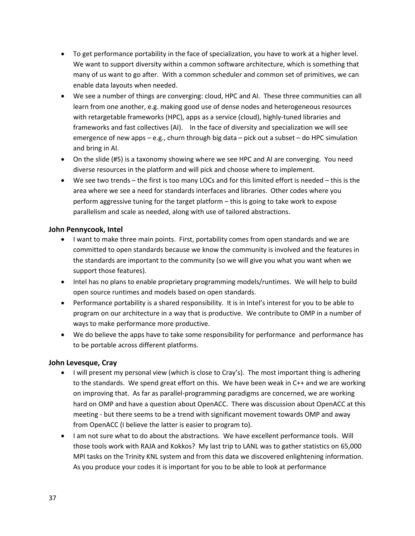- To get performance portability in the face of specialization, you have to work at a higher level. We want to support diversity within a common software architecture, which is something that many of us want to go after. With a common scheduler and common set of primitives, we can enable data layouts when needed.
- We see a number of things are converging: cloud, HPC and AI. These three communities can all learn from one another, e.g. making good use of dense nodes and heterogeneous resources with retargetable frameworks (HPC), apps as a service (cloud), highly-tuned libraries and frameworks and fast collectives (AI). In the face of diversity and specialization we will see emergence of new apps – e.g., churn through big data – pick out a subset – do HPC simulation and bring in AI.
- On the slide (#5) is a taxonomy showing where we see HPC and AI are converging. You need diverse resources in the platform and will pick and choose where to implement.
- We see two trends the first is too many LOCs and for this limited effort is needed this is the area where we see a need for standards interfaces and libraries. Other codes where you perform aggressive tuning for the target platform – this is going to take work to expose parallelism and scale as needed, along with use of tailored abstractions.

#### **John Pennycook, Intel**

- I want to make three main points. First, portability comes from open standards and we are committed to open standards because we know the community is involved and the features in the standards are important to the community (so we will give you what you want when we support those features).
- Intel has no plans to enable proprietary programming models/runtimes. We will help to build open source runtimes and models based on open standards.
- Performance portability is a shared responsibility. It is in Intel's interest for you to be able to program on our architecture in a way that is productive. We contribute to OMP in a number of ways to make performance more productive.
- We do believe the apps have to take some responsibility for performance and performance has to be portable across different platforms.

#### **John Levesque, Cray**

- I will present my personal view (which is close to Cray's). The most important thing is adhering to the standards. We spend great effort on this. We have been weak in C++ and we are working on improving that. As far as parallel-programming paradigms are concerned, we are working hard on OMP and have a question about OpenACC. There was discussion about OpenACC at this meeting - but there seems to be a trend with significant movement towards OMP and away from OpenACC (I believe the latter is easier to program to).
- I am not sure what to do about the abstractions. We have excellent performance tools. Will those tools work with RAJA and Kokkos? My last trip to LANL was to gather statistics on 65,000 MPI tasks on the Trinity KNL system and from this data we discovered enlightening information. As you produce your codes it is important for you to be able to look at performance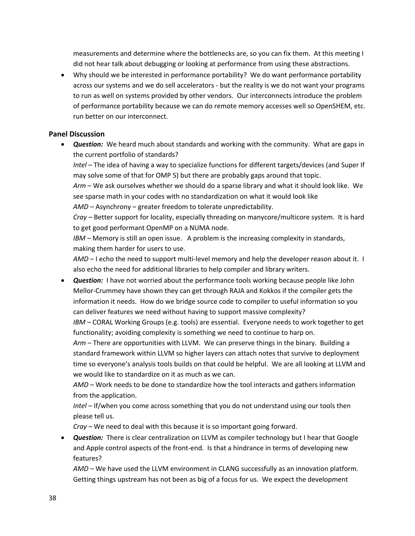measurements and determine where the bottlenecks are, so you can fix them. At this meeting I did not hear talk about debugging or looking at performance from using these abstractions.

• Why should we be interested in performance portability? We do want performance portability across our systems and we do sell accelerators - but the reality is we do not want your programs to run as well on systems provided by other vendors. Our interconnects introduce the problem of performance portability because we can do remote memory accesses well so OpenSHEM, etc. run better on our interconnect.

#### **Panel Discussion**

• *Question:* We heard much about standards and working with the community. What are gaps in the current portfolio of standards?

*Intel –* The idea of having a way to specialize functions for different targets/devices (and Super If may solve some of that for OMP 5) but there are probably gaps around that topic.

*Arm* – We ask ourselves whether we should do a sparse library and what it should look like. We see sparse math in your codes with no standardization on what it would look like *AMD –* Asynchrony – greater freedom to tolerate unpredictability.

*Cray –* Better support for locality, especially threading on manycore/multicore system. It is hard to get good performant OpenMP on a NUMA node.

*IBM –* Memory is still an open issue. A problem is the increasing complexity in standards, making them harder for users to use.

*AMD –* I echo the need to support multi-level memory and help the developer reason about it. I also echo the need for additional libraries to help compiler and library writers.

• *Question:* I have not worried about the performance tools working because people like John Mellor-Crummey have shown they can get through RAJA and Kokkos if the compiler gets the information it needs. How do we bridge source code to compiler to useful information so you can deliver features we need without having to support massive complexity?

*IBM –* CORAL Working Groups (e.g. tools) are essential. Everyone needs to work together to get functionality; avoiding complexity is something we need to continue to harp on.

*Arm –* There are opportunities with LLVM. We can preserve things in the binary. Building a standard framework within LLVM so higher layers can attach notes that survive to deployment time so everyone's analysis tools builds on that could be helpful. We are all looking at LLVM and we would like to standardize on it as much as we can.

*AMD –* Work needs to be done to standardize how the tool interacts and gathers information from the application.

*Intel –* If/when you come across something that you do not understand using our tools then please tell us.

*Cray –* We need to deal with this because it is so important going forward.

• *Question:* There is clear centralization on LLVM as compiler technology but I hear that Google and Apple control aspects of the front-end. Is that a hindrance in terms of developing new features?

*AMD –* We have used the LLVM environment in CLANG successfully as an innovation platform. Getting things upstream has not been as big of a focus for us. We expect the development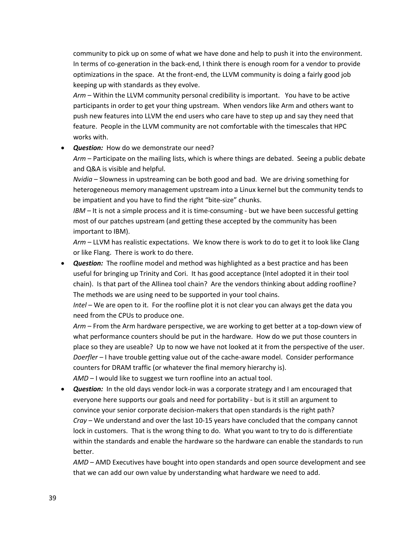community to pick up on some of what we have done and help to push it into the environment. In terms of co-generation in the back-end, I think there is enough room for a vendor to provide optimizations in the space. At the front-end, the LLVM community is doing a fairly good job keeping up with standards as they evolve.

*Arm –* Within the LLVM community personal credibility is important. You have to be active participants in order to get your thing upstream. When vendors like Arm and others want to push new features into LLVM the end users who care have to step up and say they need that feature. People in the LLVM community are not comfortable with the timescales that HPC works with.

• *Question:* How do we demonstrate our need?

*Arm –* Participate on the mailing lists, which is where things are debated. Seeing a public debate and Q&A is visible and helpful.

*Nvidia* – Slowness in upstreaming can be both good and bad. We are driving something for heterogeneous memory management upstream into a Linux kernel but the community tends to be impatient and you have to find the right "bite-size" chunks.

*IBM –* It is not a simple process and it is time-consuming - but we have been successful getting most of our patches upstream (and getting these accepted by the community has been important to IBM).

*Arm –* LLVM has realistic expectations. We know there is work to do to get it to look like Clang or like Flang. There is work to do there.

• *Question:* The roofline model and method was highlighted as a best practice and has been useful for bringing up Trinity and Cori. It has good acceptance (Intel adopted it in their tool chain). Is that part of the Allinea tool chain? Are the vendors thinking about adding roofline? The methods we are using need to be supported in your tool chains.

*Intel –* We are open to it. For the roofline plot it is not clear you can always get the data you need from the CPUs to produce one.

*Arm –* From the Arm hardware perspective, we are working to get better at a top-down view of what performance counters should be put in the hardware. How do we put those counters in place so they are useable? Up to now we have not looked at it from the perspective of the user. *Doerfler –* I have trouble getting value out of the cache-aware model. Consider performance counters for DRAM traffic (or whatever the final memory hierarchy is). *AMD* – I would like to suggest we turn roofline into an actual tool.

• *Question:* In the old days vendor lock-in was a corporate strategy and I am encouraged that everyone here supports our goals and need for portability - but is it still an argument to convince your senior corporate decision-makers that open standards is the right path? *Cray –* We understand and over the last 10-15 years have concluded that the company cannot lock in customers. That is the wrong thing to do. What you want to try to do is differentiate within the standards and enable the hardware so the hardware can enable the standards to run better.

*AMD –* AMD Executives have bought into open standards and open source development and see that we can add our own value by understanding what hardware we need to add.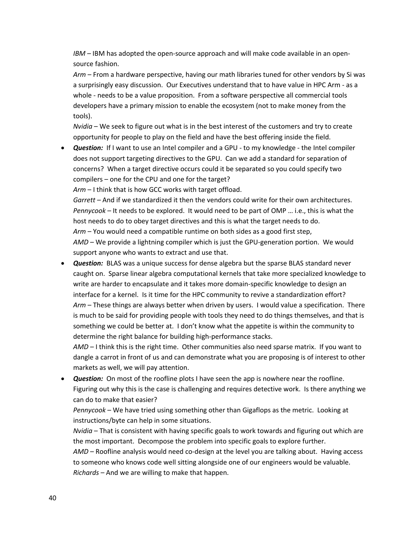*IBM –* IBM has adopted the open-source approach and will make code available in an opensource fashion.

*Arm –* From a hardware perspective, having our math libraries tuned for other vendors by Si was a surprisingly easy discussion. Our Executives understand that to have value in HPC Arm - as a whole - needs to be a value proposition. From a software perspective all commercial tools developers have a primary mission to enable the ecosystem (not to make money from the tools).

*Nvidia* – We seek to figure out what is in the best interest of the customers and try to create opportunity for people to play on the field and have the best offering inside the field.

• *Question:* If I want to use an Intel compiler and a GPU - to my knowledge - the Intel compiler does not support targeting directives to the GPU. Can we add a standard for separation of concerns? When a target directive occurs could it be separated so you could specify two compilers – one for the CPU and one for the target?

*Arm* – I think that is how GCC works with target offload.

*Garrett –* And if we standardized it then the vendors could write for their own architectures. *Pennycook –* It needs to be explored. It would need to be part of OMP … i.e., this is what the host needs to do to obey target directives and this is what the target needs to do. *Arm –* You would need a compatible runtime on both sides as a good first step,

*AMD –* We provide a lightning compiler which is just the GPU-generation portion. We would support anyone who wants to extract and use that.

• *Question:* BLAS was a unique success for dense algebra but the sparse BLAS standard never caught on. Sparse linear algebra computational kernels that take more specialized knowledge to write are harder to encapsulate and it takes more domain-specific knowledge to design an interface for a kernel. Is it time for the HPC community to revive a standardization effort? *Arm –* These things are always better when driven by users. I would value a specification. There is much to be said for providing people with tools they need to do things themselves, and that is something we could be better at. I don't know what the appetite is within the community to determine the right balance for building high-performance stacks.

*AMD –* I think this is the right time. Other communities also need sparse matrix. If you want to dangle a carrot in front of us and can demonstrate what you are proposing is of interest to other markets as well, we will pay attention.

• *Question:* On most of the roofline plots I have seen the app is nowhere near the roofline. Figuring out why this is the case is challenging and requires detective work. Is there anything we can do to make that easier?

*Pennycook –* We have tried using something other than Gigaflops as the metric. Looking at instructions/byte can help in some situations.

*Nvidia* – That is consistent with having specific goals to work towards and figuring out which are the most important. Decompose the problem into specific goals to explore further.

*AMD –* Roofline analysis would need co-design at the level you are talking about. Having access to someone who knows code well sitting alongside one of our engineers would be valuable. *Richards –* And we are willing to make that happen.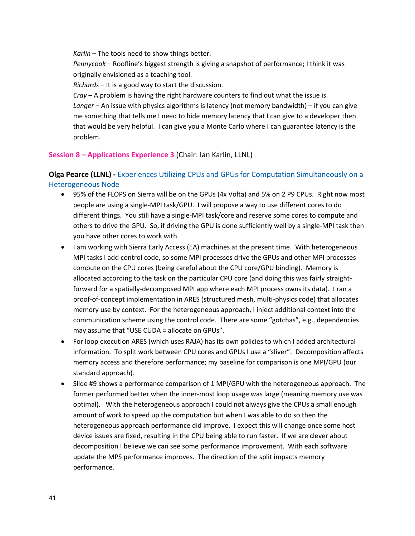*Karlin –* The tools need to show things better.

*Pennycook –* Roofline's biggest strength is giving a snapshot of performance; I think it was originally envisioned as a teaching tool.

*Richards –* It is a good way to start the discussion.

*Cray –* A problem is having the right hardware counters to find out what the issue is.

*Langer –* An issue with physics algorithms is latency (not memory bandwidth) – if you can give me something that tells me I need to hide memory latency that I can give to a developer then that would be very helpful. I can give you a Monte Carlo where I can guarantee latency is the problem.

#### **Session 8 – Applications Experience 3** (Chair: Ian Karlin, LLNL)

## **Olga Pearce (LLNL) -** Experiences Utilizing CPUs and GPUs for Computation Simultaneously on a Heterogeneous Node

- 95% of the FLOPS on Sierra will be on the GPUs (4x Volta) and 5% on 2 P9 CPUs. Right now most people are using a single-MPI task/GPU. I will propose a way to use different cores to do different things. You still have a single-MPI task/core and reserve some cores to compute and others to drive the GPU. So, if driving the GPU is done sufficiently well by a single-MPI task then you have other cores to work with.
- I am working with Sierra Early Access (EA) machines at the present time. With heterogeneous MPI tasks I add control code, so some MPI processes drive the GPUs and other MPI processes compute on the CPU cores (being careful about the CPU core/GPU binding). Memory is allocated according to the task on the particular CPU core (and doing this was fairly straightforward for a spatially-decomposed MPI app where each MPI process owns its data). I ran a proof-of-concept implementation in ARES (structured mesh, multi-physics code) that allocates memory use by context. For the heterogeneous approach, I inject additional context into the communication scheme using the control code. There are some "gotchas", e.g., dependencies may assume that "USE CUDA = allocate on GPUs".
- For loop execution ARES (which uses RAJA) has its own policies to which I added architectural information. To split work between CPU cores and GPUs I use a "sliver". Decomposition affects memory access and therefore performance; my baseline for comparison is one MPI/GPU (our standard approach).
- Slide #9 shows a performance comparison of 1 MPI/GPU with the heterogeneous approach. The former performed better when the inner-most loop usage was large (meaning memory use was optimal). With the heterogeneous approach I could not always give the CPUs a small enough amount of work to speed up the computation but when I was able to do so then the heterogeneous approach performance did improve. I expect this will change once some host device issues are fixed, resulting in the CPU being able to run faster. If we are clever about decomposition I believe we can see some performance improvement. With each software update the MPS performance improves. The direction of the split impacts memory performance.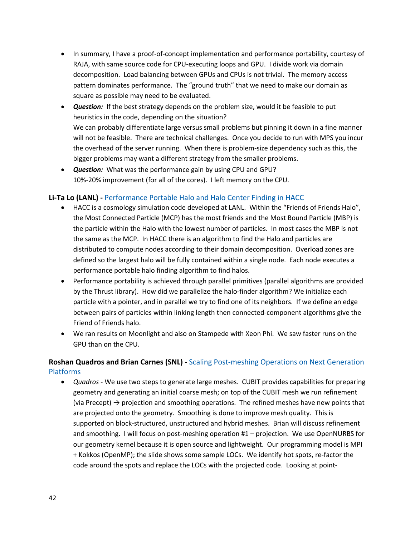- In summary, I have a proof-of-concept implementation and performance portability, courtesy of RAJA, with same source code for CPU-executing loops and GPU. I divide work via domain decomposition. Load balancing between GPUs and CPUs is not trivial. The memory access pattern dominates performance. The "ground truth" that we need to make our domain as square as possible may need to be evaluated.
- *Question:* If the best strategy depends on the problem size, would it be feasible to put heuristics in the code, depending on the situation? We can probably differentiate large versus small problems but pinning it down in a fine manner will not be feasible. There are technical challenges. Once you decide to run with MPS you incur the overhead of the server running. When there is problem-size dependency such as this, the bigger problems may want a different strategy from the smaller problems.
- *Question:* What was the performance gain by using CPU and GPU? 10%-20% improvement (for all of the cores). I left memory on the CPU.

### **Li-Ta Lo (LANL) -** Performance Portable Halo and Halo Center Finding in HACC

- HACC is a cosmology simulation code developed at LANL. Within the "Friends of Friends Halo", the Most Connected Particle (MCP) has the most friends and the Most Bound Particle (MBP) is the particle within the Halo with the lowest number of particles. In most cases the MBP is not the same as the MCP. In HACC there is an algorithm to find the Halo and particles are distributed to compute nodes according to their domain decomposition. Overload zones are defined so the largest halo will be fully contained within a single node. Each node executes a performance portable halo finding algorithm to find halos.
- Performance portability is achieved through parallel primitives (parallel algorithms are provided by the Thrust library). How did we parallelize the halo-finder algorithm? We initialize each particle with a pointer, and in parallel we try to find one of its neighbors. If we define an edge between pairs of particles within linking length then connected-component algorithms give the Friend of Friends halo.
- We ran results on Moonlight and also on Stampede with Xeon Phi. We saw faster runs on the GPU than on the CPU.

## **Roshan Quadros and Brian Carnes (SNL) -** Scaling Post-meshing Operations on Next Generation Platforms

• *Quadros -* We use two steps to generate large meshes. CUBIT provides capabilities for preparing geometry and generating an initial coarse mesh; on top of the CUBIT mesh we run refinement (via Precept)  $\rightarrow$  projection and smoothing operations. The refined meshes have new points that are projected onto the geometry. Smoothing is done to improve mesh quality. This is supported on block-structured, unstructured and hybrid meshes. Brian will discuss refinement and smoothing. I will focus on post-meshing operation #1 – projection. We use OpenNURBS for our geometry kernel because it is open source and lightweight. Our programming model is MPI + Kokkos (OpenMP); the slide shows some sample LOCs. We identify hot spots, re-factor the code around the spots and replace the LOCs with the projected code. Looking at point-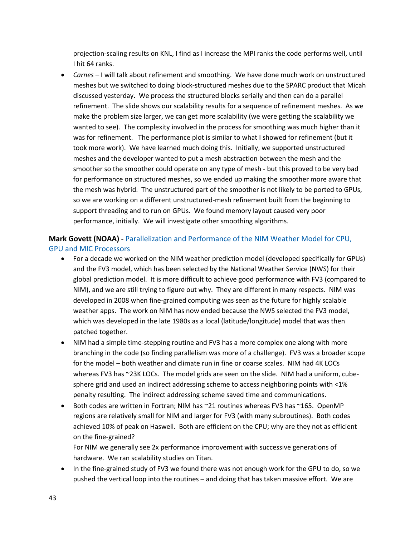projection-scaling results on KNL, I find as I increase the MPI ranks the code performs well, until I hit 64 ranks.

• *Carnes –* I will talk about refinement and smoothing. We have done much work on unstructured meshes but we switched to doing block-structured meshes due to the SPARC product that Micah discussed yesterday. We process the structured blocks serially and then can do a parallel refinement. The slide shows our scalability results for a sequence of refinement meshes. As we make the problem size larger, we can get more scalability (we were getting the scalability we wanted to see). The complexity involved in the process for smoothing was much higher than it was for refinement. The performance plot is similar to what I showed for refinement (but it took more work). We have learned much doing this. Initially, we supported unstructured meshes and the developer wanted to put a mesh abstraction between the mesh and the smoother so the smoother could operate on any type of mesh - but this proved to be very bad for performance on structured meshes, so we ended up making the smoother more aware that the mesh was hybrid. The unstructured part of the smoother is not likely to be ported to GPUs, so we are working on a different unstructured-mesh refinement built from the beginning to support threading and to run on GPUs. We found memory layout caused very poor performance, initially. We will investigate other smoothing algorithms.

## **Mark Govett (NOAA) -** Parallelization and Performance of the NIM Weather Model for CPU, GPU and MIC Processors

- For a decade we worked on the NIM weather prediction model (developed specifically for GPUs) and the FV3 model, which has been selected by the National Weather Service (NWS) for their global prediction model. It is more difficult to achieve good performance with FV3 (compared to NIM), and we are still trying to figure out why. They are different in many respects. NIM was developed in 2008 when fine-grained computing was seen as the future for highly scalable weather apps. The work on NIM has now ended because the NWS selected the FV3 model, which was developed in the late 1980s as a local (latitude/longitude) model that was then patched together.
- NIM had a simple time-stepping routine and FV3 has a more complex one along with more branching in the code (so finding parallelism was more of a challenge). FV3 was a broader scope for the model – both weather and climate run in fine or coarse scales. NIM had 4K LOCs whereas FV3 has ~23K LOCs. The model grids are seen on the slide. NIM had a uniform, cubesphere grid and used an indirect addressing scheme to access neighboring points with <1% penalty resulting. The indirect addressing scheme saved time and communications.
- Both codes are written in Fortran; NIM has ~21 routines whereas FV3 has ~165. OpenMP regions are relatively small for NIM and larger for FV3 (with many subroutines). Both codes achieved 10% of peak on Haswell. Both are efficient on the CPU; why are they not as efficient on the fine-grained?

For NIM we generally see 2x performance improvement with successive generations of hardware. We ran scalability studies on Titan.

• In the fine-grained study of FV3 we found there was not enough work for the GPU to do, so we pushed the vertical loop into the routines – and doing that has taken massive effort. We are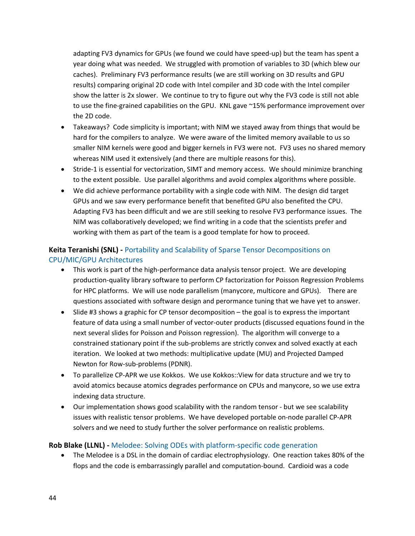adapting FV3 dynamics for GPUs (we found we could have speed-up) but the team has spent a year doing what was needed. We struggled with promotion of variables to 3D (which blew our caches). Preliminary FV3 performance results (we are still working on 3D results and GPU results) comparing original 2D code with Intel compiler and 3D code with the Intel compiler show the latter is 2x slower. We continue to try to figure out why the FV3 code is still not able to use the fine-grained capabilities on the GPU. KNL gave ~15% performance improvement over the 2D code.

- Takeaways? Code simplicity is important; with NIM we stayed away from things that would be hard for the compilers to analyze. We were aware of the limited memory available to us so smaller NIM kernels were good and bigger kernels in FV3 were not. FV3 uses no shared memory whereas NIM used it extensively (and there are multiple reasons for this).
- Stride-1 is essential for vectorization, SIMT and memory access. We should minimize branching to the extent possible. Use parallel algorithms and avoid complex algorithms where possible.
- We did achieve performance portability with a single code with NIM. The design did target GPUs and we saw every performance benefit that benefited GPU also benefited the CPU. Adapting FV3 has been difficult and we are still seeking to resolve FV3 performance issues. The NIM was collaboratively developed; we find writing in a code that the scientists prefer and working with them as part of the team is a good template for how to proceed.

## **Keita Teranishi (SNL) -** Portability and Scalability of Sparse Tensor Decompositions on CPU/MIC/GPU Architectures

- This work is part of the high-performance data analysis tensor project. We are developing production-quality library software to perform CP factorization for Poisson Regression Problems for HPC platforms. We will use node parallelism (manycore, multicore and GPUs). There are questions associated with software design and perormance tuning that we have yet to answer.
- Slide #3 shows a graphic for CP tensor decomposition the goal is to express the important feature of data using a small number of vector-outer products (discussed equations found in the next several slides for Poisson and Poisson regression). The algorithm will converge to a constrained stationary point if the sub-problems are strictly convex and solved exactly at each iteration. We looked at two methods: multiplicative update (MU) and Projected Damped Newton for Row-sub-problems (PDNR).
- To parallelize CP-APR we use Kokkos. We use Kokkos::View for data structure and we try to avoid atomics because atomics degrades performance on CPUs and manycore, so we use extra indexing data structure.
- Our implementation shows good scalability with the random tensor but we see scalability issues with realistic tensor problems. We have developed portable on-node parallel CP-APR solvers and we need to study further the solver performance on realistic problems.

#### **Rob Blake (LLNL) -** Melodee: Solving ODEs with platform-specific code generation

• The Melodee is a DSL in the domain of cardiac electrophysiology. One reaction takes 80% of the flops and the code is embarrassingly parallel and computation-bound. Cardioid was a code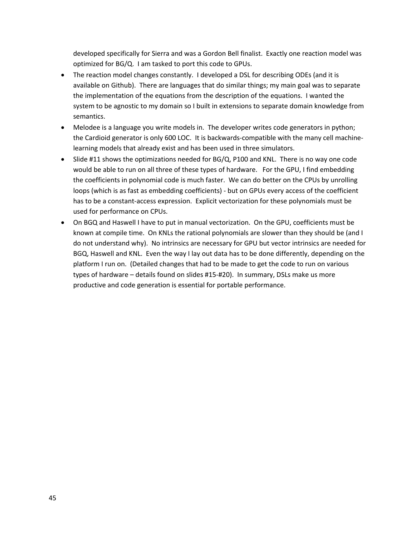developed specifically for Sierra and was a Gordon Bell finalist. Exactly one reaction model was optimized for BG/Q. I am tasked to port this code to GPUs.

- The reaction model changes constantly. I developed a DSL for describing ODEs (and it is available on Github). There are languages that do similar things; my main goal was to separate the implementation of the equations from the description of the equations. I wanted the system to be agnostic to my domain so I built in extensions to separate domain knowledge from semantics.
- Melodee is a language you write models in. The developer writes code generators in python; the Cardioid generator is only 600 LOC. It is backwards-compatible with the many cell machinelearning models that already exist and has been used in three simulators.
- Slide #11 shows the optimizations needed for BG/Q, P100 and KNL. There is no way one code would be able to run on all three of these types of hardware. For the GPU, I find embedding the coefficients in polynomial code is much faster. We can do better on the CPUs by unrolling loops (which is as fast as embedding coefficients) - but on GPUs every access of the coefficient has to be a constant-access expression. Explicit vectorization for these polynomials must be used for performance on CPUs.
- On BGQ and Haswell I have to put in manual vectorization. On the GPU, coefficients must be known at compile time. On KNLs the rational polynomials are slower than they should be (and I do not understand why). No intrinsics are necessary for GPU but vector intrinsics are needed for BGQ, Haswell and KNL. Even the way I lay out data has to be done differently, depending on the platform I run on. (Detailed changes that had to be made to get the code to run on various types of hardware – details found on slides #15-#20). In summary, DSLs make us more productive and code generation is essential for portable performance.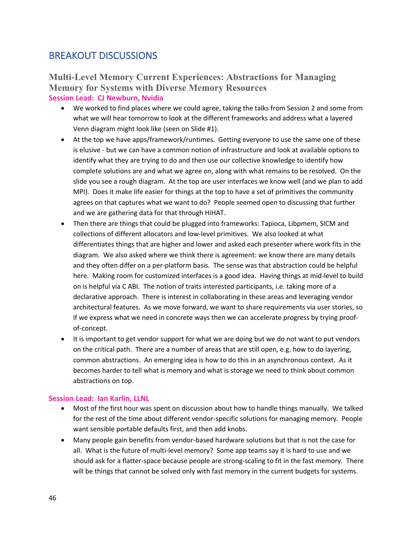## BREAKOUT DISCUSSIONS

## **Multi-Level Memory Current Experiences: Abstractions for Managing Memory for Systems with Diverse Memory Resources Session Lead: CJ Newburn, Nvidia**

- We worked to find places where we could agree, taking the talks from Session 2 and some from what we will hear tomorrow to look at the different frameworks and address what a layered Venn diagram might look like (seen on Slide #1).
- At the top we have apps/framework/runtimes. Getting everyone to use the same one of these is elusive - but we can have a common notion of infrastructure and look at available options to identify what they are trying to do and then use our collective knowledge to identify how complete solutions are and what we agree on, along with what remains to be resolved. On the slide you see a rough diagram. At the top are user interfaces we know well (and we plan to add MPI). Does it make life easier for things at the top to have a set of primitives the community agrees on that captures what we want to do? People seemed open to discussing that further and we are gathering data for that through HiHAT.
- Then there are things that could be plugged into frameworks: Tapioca, Libpmem, SICM and collections of different allocators and low-level primitives. We also looked at what differentiates things that are higher and lower and asked each presenter where work fits in the diagram. We also asked where we think there is agreement: we know there are many details and they often differ on a per-platform basis. The sense was that abstraction could be helpful here. Making room for customized interfaces is a good idea. Having things at mid-level to build on is helpful via C ABI. The notion of traits interested participants, i.e. taking more of a declarative approach. There is interest in collaborating in these areas and leveraging vendor architectural features. As we move forward, we want to share requirements via user stories, so if we express what we need in concrete ways then we can accelerate progress by trying proofof-concept.
- It is important to get vendor support for what we are doing but we do not want to put vendors on the critical path. There are a number of areas that are still open, e.g. how to do layering, common abstractions. An emerging idea is how to do this in an asynchronous context. As it becomes harder to tell what is memory and what is storage we need to think about common abstractions on top.

#### **Session Lead: Ian Karlin, LLNL**

- Most of the first hour was spent on discussion about how to handle things manually. We talked for the rest of the time about different vendor-specific solutions for managing memory. People want sensible portable defaults first, and then add knobs.
- Many people gain benefits from vendor-based hardware solutions but that is not the case for all. What is the future of multi-level memory? Some app teams say it is hard to use and we should ask for a flatter-space because people are strong-scaling to fit in the fast memory. There will be things that cannot be solved only with fast memory in the current budgets for systems.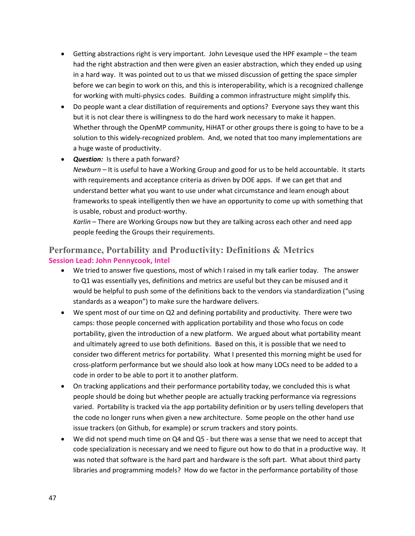- Getting abstractions right is very important. John Levesque used the HPF example the team had the right abstraction and then were given an easier abstraction, which they ended up using in a hard way. It was pointed out to us that we missed discussion of getting the space simpler before we can begin to work on this, and this is interoperability, which is a recognized challenge for working with multi-physics codes. Building a common infrastructure might simplify this.
- Do people want a clear distillation of requirements and options? Everyone says they want this but it is not clear there is willingness to do the hard work necessary to make it happen. Whether through the OpenMP community, HiHAT or other groups there is going to have to be a solution to this widely-recognized problem. And, we noted that too many implementations are a huge waste of productivity.
- *Question:* Is there a path forward? *Newburn –* It is useful to have a Working Group and good for us to be held accountable. It starts with requirements and acceptance criteria as driven by DOE apps. If we can get that and understand better what you want to use under what circumstance and learn enough about frameworks to speak intelligently then we have an opportunity to come up with something that is usable, robust and product-worthy.

*Karlin –* There are Working Groups now but they are talking across each other and need app people feeding the Groups their requirements.

## **Performance, Portability and Productivity: Definitions & Metrics** **Session Lead: John Pennycook, Intel**

- We tried to answer five questions, most of which I raised in my talk earlier today. The answer to Q1 was essentially yes, definitions and metrics are useful but they can be misused and it would be helpful to push some of the definitions back to the vendors via standardization ("using standards as a weapon") to make sure the hardware delivers.
- We spent most of our time on Q2 and defining portability and productivity. There were two camps: those people concerned with application portability and those who focus on code portability, given the introduction of a new platform. We argued about what portability meant and ultimately agreed to use both definitions. Based on this, it is possible that we need to consider two different metrics for portability. What I presented this morning might be used for cross-platform performance but we should also look at how many LOCs need to be added to a code in order to be able to port it to another platform.
- On tracking applications and their performance portability today, we concluded this is what people should be doing but whether people are actually tracking performance via regressions varied. Portability is tracked via the app portability definition or by users telling developers that the code no longer runs when given a new architecture. Some people on the other hand use issue trackers (on Github, for example) or scrum trackers and story points.
- We did not spend much time on Q4 and Q5 but there was a sense that we need to accept that code specialization is necessary and we need to figure out how to do that in a productive way. It was noted that software is the hard part and hardware is the soft part. What about third party libraries and programming models? How do we factor in the performance portability of those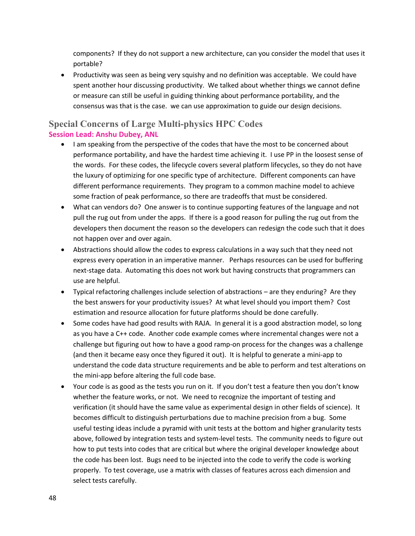components? If they do not support a new architecture, can you consider the model that uses it portable?

• Productivity was seen as being very squishy and no definition was acceptable. We could have spent another hour discussing productivity. We talked about whether things we cannot define or measure can still be useful in guiding thinking about performance portability, and the consensus was that is the case. we can use approximation to guide our design decisions.

## **Special Concerns of Large Multi-physics HPC Codes Session Lead: Anshu Dubey, ANL**

- I am speaking from the perspective of the codes that have the most to be concerned about performance portability, and have the hardest time achieving it. I use PP in the loosest sense of the words. For these codes, the lifecycle covers several platform lifecycles, so they do not have the luxury of optimizing for one specific type of architecture. Different components can have different performance requirements. They program to a common machine model to achieve some fraction of peak performance, so there are tradeoffs that must be considered.
- What can vendors do? One answer is to continue supporting features of the language and not pull the rug out from under the apps. If there is a good reason for pulling the rug out from the developers then document the reason so the developers can redesign the code such that it does not happen over and over again.
- Abstractions should allow the codes to express calculations in a way such that they need not express every operation in an imperative manner. Perhaps resources can be used for buffering next-stage data. Automating this does not work but having constructs that programmers can use are helpful.
- Typical refactoring challenges include selection of abstractions are they enduring? Are they the best answers for your productivity issues? At what level should you import them? Cost estimation and resource allocation for future platforms should be done carefully.
- Some codes have had good results with RAJA. In general it is a good abstraction model, so long as you have a C++ code. Another code example comes where incremental changes were not a challenge but figuring out how to have a good ramp-on process for the changes was a challenge (and then it became easy once they figured it out). It is helpful to generate a mini-app to understand the code data structure requirements and be able to perform and test alterations on the mini-app before altering the full code base.
- Your code is as good as the tests you run on it. If you don't test a feature then you don't know whether the feature works, or not. We need to recognize the important of testing and verification (it should have the same value as experimental design in other fields of science). It becomes difficult to distinguish perturbations due to machine precision from a bug. Some useful testing ideas include a pyramid with unit tests at the bottom and higher granularity tests above, followed by integration tests and system-level tests. The community needs to figure out how to put tests into codes that are critical but where the original developer knowledge about the code has been lost. Bugs need to be injected into the code to verify the code is working properly. To test coverage, use a matrix with classes of features across each dimension and select tests carefully.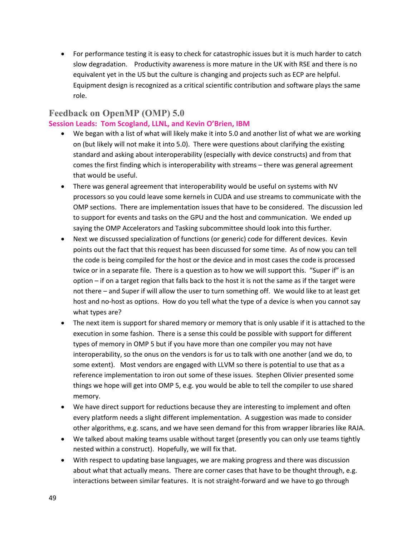• For performance testing it is easy to check for catastrophic issues but it is much harder to catch slow degradation. Productivity awareness is more mature in the UK with RSE and there is no equivalent yet in the US but the culture is changing and projects such as ECP are helpful. Equipment design is recognized as a critical scientific contribution and software plays the same role.

## **Feedback on OpenMP (OMP) 5.0**

#### **Session Leads: Tom Scogland, LLNL, and Kevin O'Brien, IBM**

- We began with a list of what will likely make it into 5.0 and another list of what we are working on (but likely will not make it into 5.0). There were questions about clarifying the existing standard and asking about interoperability (especially with device constructs) and from that comes the first finding which is interoperability with streams – there was general agreement that would be useful.
- There was general agreement that interoperability would be useful on systems with NV processors so you could leave some kernels in CUDA and use streams to communicate with the OMP sections. There are implementation issues that have to be considered. The discussion led to support for events and tasks on the GPU and the host and communication. We ended up saying the OMP Accelerators and Tasking subcommittee should look into this further.
- Next we discussed specialization of functions (or generic) code for different devices. Kevin points out the fact that this request has been discussed for some time. As of now you can tell the code is being compiled for the host or the device and in most cases the code is processed twice or in a separate file. There is a question as to how we will support this. "Super if" is an option – if on a target region that falls back to the host it is not the same as if the target were not there – and Super if will allow the user to turn something off. We would like to at least get host and no-host as options. How do you tell what the type of a device is when you cannot say what types are?
- The next item is support for shared memory or memory that is only usable if it is attached to the execution in some fashion. There is a sense this could be possible with support for different types of memory in OMP 5 but if you have more than one compiler you may not have interoperability, so the onus on the vendors is for us to talk with one another (and we do, to some extent). Most vendors are engaged with LLVM so there is potential to use that as a reference implementation to iron out some of these issues. Stephen Olivier presented some things we hope will get into OMP 5, e.g. you would be able to tell the compiler to use shared memory.
- We have direct support for reductions because they are interesting to implement and often every platform needs a slight different implementation. A suggestion was made to consider other algorithms, e.g. scans, and we have seen demand for this from wrapper libraries like RAJA.
- We talked about making teams usable without target (presently you can only use teams tightly nested within a construct). Hopefully, we will fix that.
- With respect to updating base languages, we are making progress and there was discussion about what that actually means. There are corner cases that have to be thought through, e.g. interactions between similar features. It is not straight-forward and we have to go through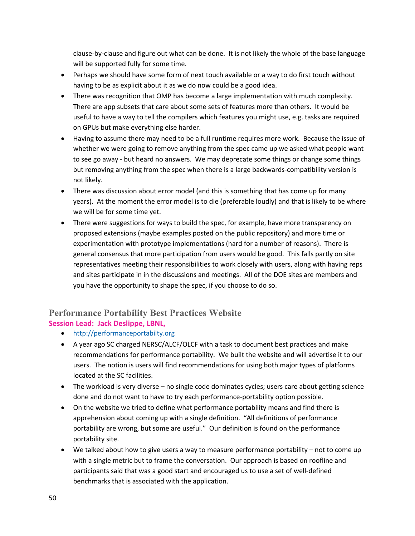clause-by-clause and figure out what can be done. It is not likely the whole of the base language will be supported fully for some time.

- Perhaps we should have some form of next touch available or a way to do first touch without having to be as explicit about it as we do now could be a good idea.
- There was recognition that OMP has become a large implementation with much complexity. There are app subsets that care about some sets of features more than others. It would be useful to have a way to tell the compilers which features you might use, e.g. tasks are required on GPUs but make everything else harder.
- Having to assume there may need to be a full runtime requires more work. Because the issue of whether we were going to remove anything from the spec came up we asked what people want to see go away - but heard no answers. We may deprecate some things or change some things but removing anything from the spec when there is a large backwards-compatibility version is not likely.
- There was discussion about error model (and this is something that has come up for many years). At the moment the error model is to die (preferable loudly) and that is likely to be where we will be for some time yet.
- There were suggestions for ways to build the spec, for example, have more transparency on proposed extensions (maybe examples posted on the public repository) and more time or experimentation with prototype implementations (hard for a number of reasons). There is general consensus that more participation from users would be good. This falls partly on site representatives meeting their responsibilities to work closely with users, along with having reps and sites participate in in the discussions and meetings. All of the DOE sites are members and you have the opportunity to shape the spec, if you choose to do so.

## **Performance Portability Best Practices Website Session Lead: Jack Deslippe, LBNL,**

- http://performanceportabilty.org
- A year ago SC charged NERSC/ALCF/OLCF with a task to document best practices and make recommendations for performance portability. We built the website and will advertise it to our users. The notion is users will find recommendations for using both major types of platforms located at the SC facilities.
- The workload is very diverse no single code dominates cycles; users care about getting science done and do not want to have to try each performance-portability option possible.
- On the website we tried to define what performance portability means and find there is apprehension about coming up with a single definition. "All definitions of performance portability are wrong, but some are useful." Our definition is found on the performance portability site.
- We talked about how to give users a way to measure performance portability not to come up with a single metric but to frame the conversation. Our approach is based on roofline and participants said that was a good start and encouraged us to use a set of well-defined benchmarks that is associated with the application.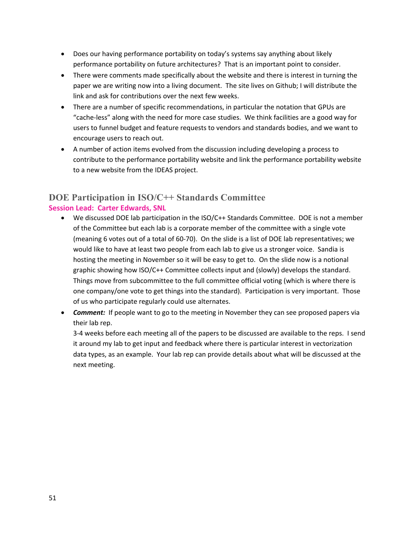- Does our having performance portability on today's systems say anything about likely performance portability on future architectures? That is an important point to consider.
- There were comments made specifically about the website and there is interest in turning the paper we are writing now into a living document. The site lives on Github; I will distribute the link and ask for contributions over the next few weeks.
- There are a number of specific recommendations, in particular the notation that GPUs are "cache-less" along with the need for more case studies. We think facilities are a good way for users to funnel budget and feature requests to vendors and standards bodies, and we want to encourage users to reach out.
- A number of action items evolved from the discussion including developing a process to contribute to the performance portability website and link the performance portability website to a new website from the IDEAS project.

## **DOE Participation in ISO/C++ Standards Committee Session Lead: Carter Edwards, SNL**

- We discussed DOE lab participation in the ISO/C++ Standards Committee. DOE is not a member of the Committee but each lab is a corporate member of the committee with a single vote (meaning 6 votes out of a total of 60-70). On the slide is a list of DOE lab representatives; we would like to have at least two people from each lab to give us a stronger voice. Sandia is hosting the meeting in November so it will be easy to get to. On the slide now is a notional graphic showing how ISO/C++ Committee collects input and (slowly) develops the standard. Things move from subcommittee to the full committee official voting (which is where there is one company/one vote to get things into the standard). Participation is very important. Those of us who participate regularly could use alternates.
- *Comment:* If people want to go to the meeting in November they can see proposed papers via their lab rep.

3-4 weeks before each meeting all of the papers to be discussed are available to the reps. I send it around my lab to get input and feedback where there is particular interest in vectorization data types, as an example. Your lab rep can provide details about what will be discussed at the next meeting.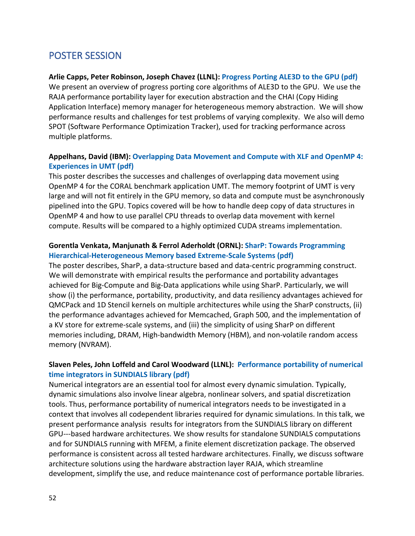## POSTER SESSION

### **Arlie Capps, Peter Robinson, Joseph Chavez (LLNL): Progress Porting ALE3D to the GPU (pdf)**

We present an overview of progress porting core algorithms of ALE3D to the GPU. We use the RAJA performance portability layer for execution abstraction and the CHAI (Copy Hiding Application Interface) memory manager for heterogeneous memory abstraction. We will show performance results and challenges for test problems of varying complexity. We also will demo SPOT (Software Performance Optimization Tracker), used for tracking performance across multiple platforms.

## **Appelhans, David (IBM): Overlapping Data Movement and Compute with XLF and OpenMP 4: Experiences in UMT (pdf)**

This poster describes the successes and challenges of overlapping data movement using OpenMP 4 for the CORAL benchmark application UMT. The memory footprint of UMT is very large and will not fit entirely in the GPU memory, so data and compute must be asynchronously pipelined into the GPU. Topics covered will be how to handle deep copy of data structures in OpenMP 4 and how to use parallel CPU threads to overlap data movement with kernel compute. Results will be compared to a highly optimized CUDA streams implementation.

### **Gorentla Venkata, Manjunath & Ferrol Aderholdt (ORNL): SharP: Towards Programming Hierarchical-Heterogeneous Memory based Extreme-Scale Systems (pdf)**

The poster describes, SharP, a data-structure based and data-centric programming construct. We will demonstrate with empirical results the performance and portability advantages achieved for Big-Compute and Big-Data applications while using SharP. Particularly, we will show (i) the performance, portability, productivity, and data resiliency advantages achieved for QMCPack and 1D Stencil kernels on multiple architectures while using the SharP constructs, (ii) the performance advantages achieved for Memcached, Graph 500, and the implementation of a KV store for extreme-scale systems, and (iii) the simplicity of using SharP on different memories including, DRAM, High-bandwidth Memory (HBM), and non-volatile random access memory (NVRAM).

## **Slaven Peles, John Loffeld and Carol Woodward (LLNL): Performance portability of numerical time integrators in SUNDIALS library (pdf)**

Numerical integrators are an essential tool for almost every dynamic simulation. Typically, dynamic simulations also involve linear algebra, nonlinear solvers, and spatial discretization tools. Thus, performance portability of numerical integrators needs to be investigated in a context that involves all codependent libraries required for dynamic simulations. In this talk, we present performance analysis results for integrators from the SUNDIALS library on different GPU---based hardware architectures. We show results for standalone SUNDIALS computations and for SUNDIALS running with MFEM, a finite element discretization package. The observed performance is consistent across all tested hardware architectures. Finally, we discuss software architecture solutions using the hardware abstraction layer RAJA, which streamline development, simplify the use, and reduce maintenance cost of performance portable libraries.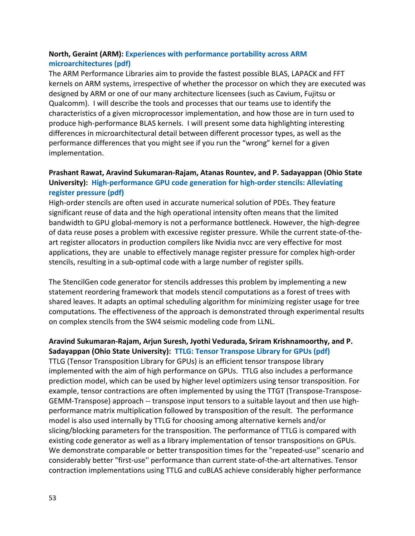## **North, Geraint (ARM): Experiences with performance portability across ARM microarchitectures (pdf)**

The ARM Performance Libraries aim to provide the fastest possible BLAS, LAPACK and FFT kernels on ARM systems, irrespective of whether the processor on which they are executed was designed by ARM or one of our many architecture licensees (such as Cavium, Fujitsu or Qualcomm). I will describe the tools and processes that our teams use to identify the characteristics of a given microprocessor implementation, and how those are in turn used to produce high-performance BLAS kernels. I will present some data highlighting interesting differences in microarchitectural detail between different processor types, as well as the performance differences that you might see if you run the "wrong" kernel for a given implementation.

## **Prashant Rawat, Aravind Sukumaran-Rajam, Atanas Rountev, and P. Sadayappan (Ohio State University): High-performance GPU code generation for high-order stencils: Alleviating register pressure (pdf)**

High-order stencils are often used in accurate numerical solution of PDEs. They feature significant reuse of data and the high operational intensity often means that the limited bandwidth to GPU global-memory is not a performance bottleneck. However, the high-degree of data reuse poses a problem with excessive register pressure. While the current state-of-theart register allocators in production compilers like Nvidia nvcc are very effective for most applications, they are unable to effectively manage register pressure for complex high-order stencils, resulting in a sub-optimal code with a large number of register spills.

The StencilGen code generator for stencils addresses this problem by implementing a new statement reordering framework that models stencil computations as a forest of trees with shared leaves. It adapts an optimal scheduling algorithm for minimizing register usage for tree computations. The effectiveness of the approach is demonstrated through experimental results on complex stencils from the SW4 seismic modeling code from LLNL.

## **Aravind Sukumaran-Rajam, Arjun Suresh, Jyothi Vedurada, Sriram Krishnamoorthy, and P. Sadayappan (Ohio State University): TTLG: Tensor Transpose Library for GPUs (pdf)**

TTLG (Tensor Transposition Library for GPUs) is an efficient tensor transpose library implemented with the aim of high performance on GPUs. TTLG also includes a performance prediction model, which can be used by higher level optimizers using tensor transposition. For example, tensor contractions are often implemented by using the TTGT (Transpose-Transpose-GEMM-Transpose) approach -- transpose input tensors to a suitable layout and then use highperformance matrix multiplication followed by transposition of the result. The performance model is also used internally by TTLG for choosing among alternative kernels and/or slicing/blocking parameters for the transposition. The performance of TTLG is compared with existing code generator as well as a library implementation of tensor transpositions on GPUs. We demonstrate comparable or better transposition times for the "repeated-use'' scenario and considerably better "first-use'' performance than current state-of-the-art alternatives. Tensor contraction implementations using TTLG and cuBLAS achieve considerably higher performance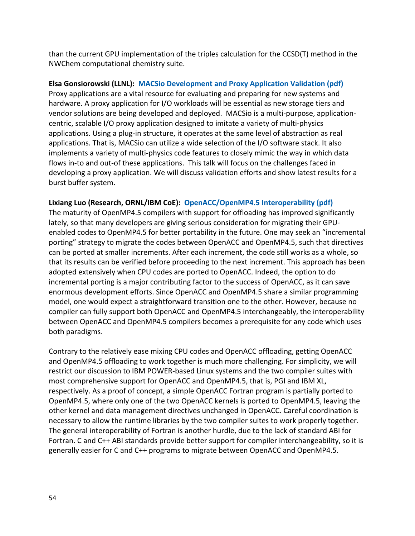than the current GPU implementation of the triples calculation for the CCSD(T) method in the NWChem computational chemistry suite.

### **Elsa Gonsiorowski (LLNL): MACSio Development and Proxy Application Validation (pdf)**

Proxy applications are a vital resource for evaluating and preparing for new systems and hardware. A proxy application for I/O workloads will be essential as new storage tiers and vendor solutions are being developed and deployed. MACSio is a multi-purpose, applicationcentric, scalable I/O proxy application designed to imitate a variety of multi-physics applications. Using a plug-in structure, it operates at the same level of abstraction as real applications. That is, MACSio can utilize a wide selection of the I/O software stack. It also implements a variety of multi-physics code features to closely mimic the way in which data flows in-to and out-of these applications. This talk will focus on the challenges faced in developing a proxy application. We will discuss validation efforts and show latest results for a burst buffer system.

#### **Lixiang Luo (Research, ORNL/IBM CoE): OpenACC/OpenMP4.5 Interoperability (pdf)**

The maturity of OpenMP4.5 compilers with support for offloading has improved significantly lately, so that many developers are giving serious consideration for migrating their GPUenabled codes to OpenMP4.5 for better portability in the future. One may seek an "incremental porting" strategy to migrate the codes between OpenACC and OpenMP4.5, such that directives can be ported at smaller increments. After each increment, the code still works as a whole, so that its results can be verified before proceeding to the next increment. This approach has been adopted extensively when CPU codes are ported to OpenACC. Indeed, the option to do incremental porting is a major contributing factor to the success of OpenACC, as it can save enormous development efforts. Since OpenACC and OpenMP4.5 share a similar programming model, one would expect a straightforward transition one to the other. However, because no compiler can fully support both OpenACC and OpenMP4.5 interchangeably, the interoperability between OpenACC and OpenMP4.5 compilers becomes a prerequisite for any code which uses both paradigms.

Contrary to the relatively ease mixing CPU codes and OpenACC offloading, getting OpenACC and OpenMP4.5 offloading to work together is much more challenging. For simplicity, we will restrict our discussion to IBM POWER-based Linux systems and the two compiler suites with most comprehensive support for OpenACC and OpenMP4.5, that is, PGI and IBM XL, respectively. As a proof of concept, a simple OpenACC Fortran program is partially ported to OpenMP4.5, where only one of the two OpenACC kernels is ported to OpenMP4.5, leaving the other kernel and data management directives unchanged in OpenACC. Careful coordination is necessary to allow the runtime libraries by the two compiler suites to work properly together. The general interoperability of Fortran is another hurdle, due to the lack of standard ABI for Fortran. C and C++ ABI standards provide better support for compiler interchangeability, so it is generally easier for C and C++ programs to migrate between OpenACC and OpenMP4.5.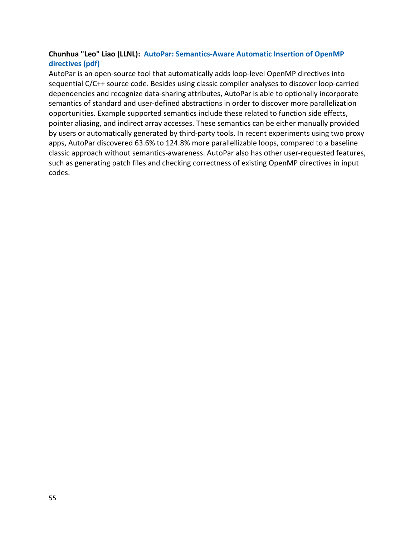## **Chunhua "Leo" Liao (LLNL): AutoPar: Semantics-Aware Automatic Insertion of OpenMP directives (pdf)**

AutoPar is an open-source tool that automatically adds loop-level OpenMP directives into sequential C/C++ source code. Besides using classic compiler analyses to discover loop-carried dependencies and recognize data-sharing attributes, AutoPar is able to optionally incorporate semantics of standard and user-defined abstractions in order to discover more parallelization opportunities. Example supported semantics include these related to function side effects, pointer aliasing, and indirect array accesses. These semantics can be either manually provided by users or automatically generated by third-party tools. In recent experiments using two proxy apps, AutoPar discovered 63.6% to 124.8% more parallellizable loops, compared to a baseline classic approach without semantics-awareness. AutoPar also has other user-requested features, such as generating patch files and checking correctness of existing OpenMP directives in input codes.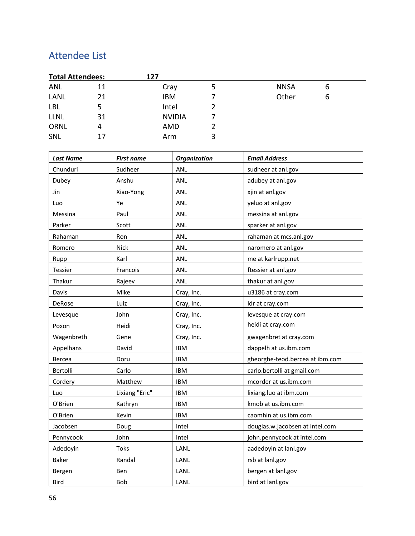## Attendee List

| <b>Total Attendees:</b> |    | 127           |   |             |   |  |
|-------------------------|----|---------------|---|-------------|---|--|
| ANL                     | 11 | Cray          | э | <b>NNSA</b> | 6 |  |
| LANL                    | 21 | <b>IBM</b>    |   | Other       | 6 |  |
| <b>LBL</b>              |    | Intel         |   |             |   |  |
| <b>LLNL</b>             | 31 | <b>NVIDIA</b> |   |             |   |  |
| <b>ORNL</b>             | 4  | AMD           |   |             |   |  |
| SNL                     | 17 | Arm           | 3 |             |   |  |

| <b>Last Name</b> | <b>First name</b> | <b>Organization</b> | <b>Email Address</b>            |
|------------------|-------------------|---------------------|---------------------------------|
| Chunduri         | Sudheer           | ANL                 | sudheer at anl.gov              |
| Dubey            | Anshu             | ANL                 | adubey at anl.gov               |
| Jin              | Xiao-Yong         | ANL                 | xjin at anl.gov                 |
| Luo              | Ye                | ANL                 | yeluo at anl.gov                |
| Messina          | Paul              | <b>ANL</b>          | messina at anl.gov              |
| Parker           | Scott             | ANL                 | sparker at anl.gov              |
| Rahaman          | Ron               | ANL                 | rahaman at mcs.anl.gov          |
| Romero           | <b>Nick</b>       | ANL                 | naromero at anl.gov             |
| Rupp             | Karl              | ANL                 | me at karlrupp.net              |
| Tessier          | Francois          | ANL                 | ftessier at anl.gov             |
| Thakur           | Rajeev            | ANL                 | thakur at anl.gov               |
| Davis            | Mike              | Cray, Inc.          | u3186 at cray.com               |
| DeRose           | Luiz              | Cray, Inc.          | ldr at cray.com                 |
| Levesque         | John              | Cray, Inc.          | levesque at cray.com            |
| Poxon            | Heidi             | Cray, Inc.          | heidi at cray.com               |
| Wagenbreth       | Gene              | Cray, Inc.          | gwagenbret at cray.com          |
| Appelhans        | David             | <b>IBM</b>          | dappelh at us.ibm.com           |
| Bercea           | Doru              | <b>IBM</b>          | gheorghe-teod.bercea at ibm.com |
| Bertolli         | Carlo             | <b>IBM</b>          | carlo.bertolli at gmail.com     |
| Cordery          | Matthew           | <b>IBM</b>          | mcorder at us.ibm.com           |
| Luo              | Lixiang "Eric"    | <b>IBM</b>          | lixiang.luo at ibm.com          |
| O'Brien          | Kathryn           | <b>IBM</b>          | kmob at us.ibm.com              |
| O'Brien          | Kevin             | <b>IBM</b>          | caomhin at us.ibm.com           |
| Jacobsen         | Doug              | Intel               | douglas.w.jacobsen at intel.com |
| Pennycook        | John              | Intel               | john.pennycook at intel.com     |
| Adedoyin         | Toks              | LANL                | aadedoyin at lanl.gov           |
| <b>Baker</b>     | Randal            | LANL                | rsb at lanl.gov                 |
| Bergen           | Ben               | LANL                | bergen at lanl.gov              |
| Bird             | <b>Bob</b>        | LANL                | bird at lanl.gov                |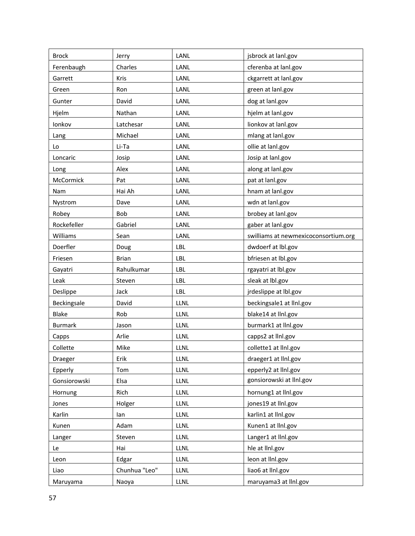| <b>Brock</b>   | Jerry         | LANL        | jsbrock at lanl.gov                  |
|----------------|---------------|-------------|--------------------------------------|
| Ferenbaugh     | Charles       | LANL        | cferenba at lanl.gov                 |
| Garrett        | Kris          | LANL        | ckgarrett at lanl.gov                |
| Green          | Ron           | LANL        | green at lanl.gov                    |
| Gunter         | David         | LANL        | dog at lanl.gov                      |
| Hjelm          | Nathan        | LANL        | hjelm at lanl.gov                    |
| Ionkov         | Latchesar     | LANL        | lionkov at lanl.gov                  |
| Lang           | Michael       | LANL        | mlang at lanl.gov                    |
| Lo             | Li-Ta         | LANL        | ollie at lanl.gov                    |
| Loncaric       | Josip         | LANL        | Josip at lanl.gov                    |
| Long           | Alex          | LANL        | along at lanl.gov                    |
| McCormick      | Pat           | LANL        | pat at lanl.gov                      |
| Nam            | Hai Ah        | LANL        | hnam at lanl.gov                     |
| Nystrom        | Dave          | LANL        | wdn at lanl.gov                      |
| Robey          | Bob           | LANL        | brobey at lanl.gov                   |
| Rockefeller    | Gabriel       | LANL        | gaber at lanl.gov                    |
| Williams       | Sean          | LANL        | swilliams at newmexicoconsortium.org |
| Doerfler       | Doug          | LBL         | dwdoerf at lbl.gov                   |
| Friesen        | <b>Brian</b>  | LBL         | bfriesen at Ibl.gov                  |
| Gayatri        | Rahulkumar    | LBL         | rgayatri at Ibl.gov                  |
| Leak           | Steven        | LBL         | sleak at Ibl.gov                     |
| Deslippe       | Jack          | LBL         | jrdeslippe at lbl.gov                |
| Beckingsale    | David         | <b>LLNL</b> | beckingsale1 at llnl.gov             |
| Blake          | Rob           | LLNL        | blake14 at llnl.gov                  |
| <b>Burmark</b> | Jason         | <b>LLNL</b> | burmark1 at llnl.gov                 |
| Capps          | Arlie         | LLNL        | capps2 at llnl.gov                   |
| Collette       | Mike          | <b>LLNL</b> | collette1 at llnl.gov                |
| Draeger        | Erik          | LLNL        | draeger1 at llnl.gov                 |
| Epperly        | Tom           | <b>LLNL</b> | epperly2 at llnl.gov                 |
| Gonsiorowski   | Elsa          | <b>LLNL</b> | gonsiorowski at llnl.gov             |
| Hornung        | Rich          | <b>LLNL</b> | hornung1 at llnl.gov                 |
| Jones          | Holger        | LLNL        | jones19 at llnl.gov                  |
| Karlin         | lan           | <b>LLNL</b> | karlin1 at llnl.gov                  |
| Kunen          | Adam          | <b>LLNL</b> | Kunen1 at llnl.gov                   |
| Langer         | Steven        | <b>LLNL</b> | Langer1 at llnl.gov                  |
| Le             | Hai           | LLNL        | hle at lini.gov                      |
| Leon           | Edgar         | LLNL        | leon at lini.gov                     |
| Liao           | Chunhua "Leo" | LLNL        | liao6 at llnl.gov                    |
| Maruyama       | Naoya         | LLNL        | maruyama3 at llnl.gov                |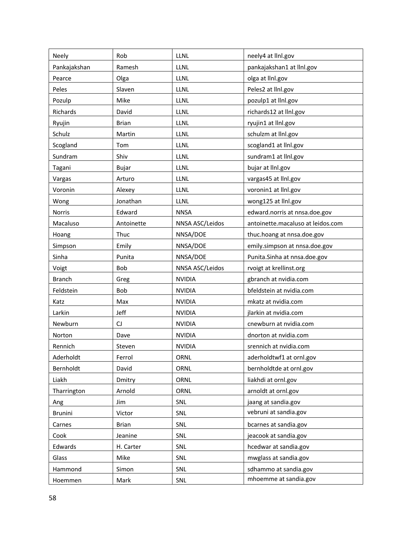| Neely          | Rob          | LLNL            | neely4 at llnl.gov                |
|----------------|--------------|-----------------|-----------------------------------|
| Pankajakshan   | Ramesh       | LLNL            | pankajakshan1 at llnl.gov         |
| Pearce         | Olga         | <b>LLNL</b>     | olga at lini.gov                  |
| Peles          | Slaven       | LLNL            | Peles2 at llnl.gov                |
| Pozulp         | Mike         | LLNL            | pozulp1 at llnl.gov               |
| Richards       | David        | LLNL            | richards12 at llnl.gov            |
| Ryujin         | <b>Brian</b> | <b>LLNL</b>     | ryujin1 at llnl.gov               |
| Schulz         | Martin       | LLNL            | schulzm at llnl.gov               |
| Scogland       | Tom          | <b>LLNL</b>     | scogland1 at llnl.gov             |
| Sundram        | Shiv         | LLNL            | sundram1 at llnl.gov              |
| Tagani         | Bujar        | <b>LLNL</b>     | bujar at llnl.gov                 |
| Vargas         | Arturo       | LLNL            | vargas45 at llnl.gov              |
| Voronin        | Alexey       | LLNL            | voronin1 at llnl.gov              |
| Wong           | Jonathan     | LLNL            | wong125 at llnl.gov               |
| Norris         | Edward       | <b>NNSA</b>     | edward.norris at nnsa.doe.gov     |
| Macaluso       | Antoinette   | NNSA ASC/Leidos | antoinette.macaluso at leidos.com |
| Hoang          | Thuc         | NNSA/DOE        | thuc.hoang at nnsa.doe.gov        |
| Simpson        | Emily        | NNSA/DOE        | emily.simpson at nnsa.doe.gov     |
| Sinha          | Punita       | NNSA/DOE        | Punita.Sinha at nnsa.doe.gov      |
| Voigt          | Bob          | NNSA ASC/Leidos | rvoigt at krellinst.org           |
| <b>Branch</b>  | Greg         | <b>NVIDIA</b>   | gbranch at nvidia.com             |
| Feldstein      | Bob          | <b>NVIDIA</b>   | bfeldstein at nvidia.com          |
| Katz           | Max          | <b>NVIDIA</b>   | mkatz at nvidia.com               |
| Larkin         | Jeff         | <b>NVIDIA</b>   | jlarkin at nvidia.com             |
| Newburn        | CJ           | <b>NVIDIA</b>   | cnewburn at nvidia.com            |
| Norton         | Dave         | <b>NVIDIA</b>   | dnorton at nvidia.com             |
| Rennich        | Steven       | <b>NVIDIA</b>   | srennich at nvidia.com            |
| Aderholdt      | Ferrol       | ORNL            | aderholdtwf1 at ornl.gov          |
| Bernholdt      | David        | ORNL            | bernholdtde at ornl.gov           |
| Liakh          | Dmitry       | ORNL            | liakhdi at ornl.gov               |
| Tharrington    | Arnold       | <b>ORNL</b>     | arnoldt at ornl.gov               |
| Ang            | Jim          | SNL             | jaang at sandia.gov               |
| <b>Brunini</b> | Victor       | SNL             | vebruni at sandia.gov             |
| Carnes         | <b>Brian</b> | SNL             | bcarnes at sandia.gov             |
| Cook           | Jeanine      | SNL             | jeacook at sandia.gov             |
| Edwards        | H. Carter    | SNL             | hcedwar at sandia.gov             |
| Glass          | Mike         | SNL             | mwglass at sandia.gov             |
| Hammond        | Simon        | SNL             | sdhammo at sandia.gov             |
| Hoemmen        | Mark         | SNL             | mhoemme at sandia.gov             |